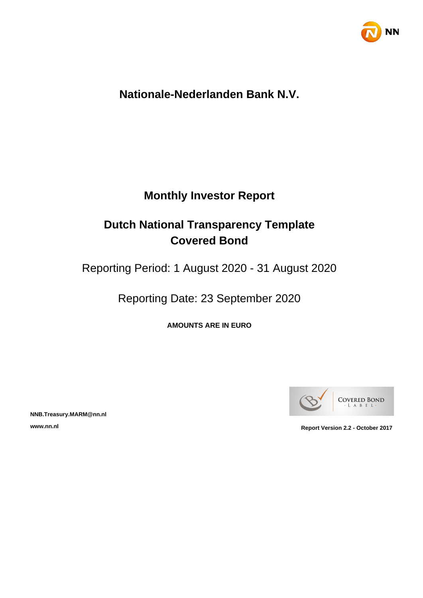

## **Nationale-Nederlanden Bank N.V.**

## **Monthly Investor Report**

## **Dutch National Transparency Template Covered Bond**

Reporting Period: 1 August 2020 - 31 August 2020

Reporting Date: 23 September 2020

**AMOUNTS ARE IN EURO**



**NNB.Treasury.MARM@nn.nl**

**www.nn.nl Report Version 2.2 - October 2017**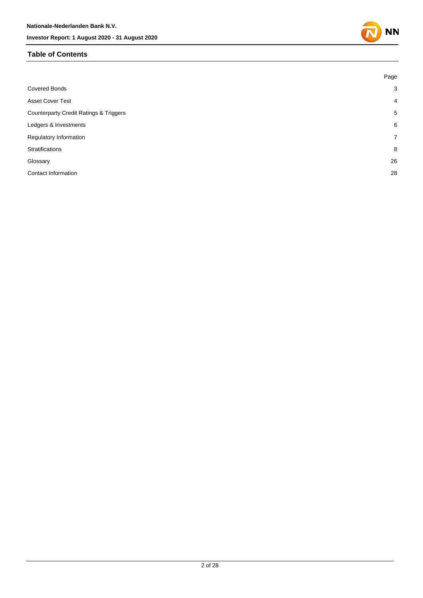## **Table of Contents**

|                                                   | Page           |
|---------------------------------------------------|----------------|
| <b>Covered Bonds</b>                              | 3              |
| <b>Asset Cover Test</b>                           | $\overline{4}$ |
| <b>Counterparty Credit Ratings &amp; Triggers</b> | 5              |
| Ledgers & Investments                             | 6              |
| <b>Regulatory Information</b>                     | $\overline{7}$ |
| <b>Stratifications</b>                            | 8              |
| Glossary                                          | 26             |
| Contact Information                               | 28             |

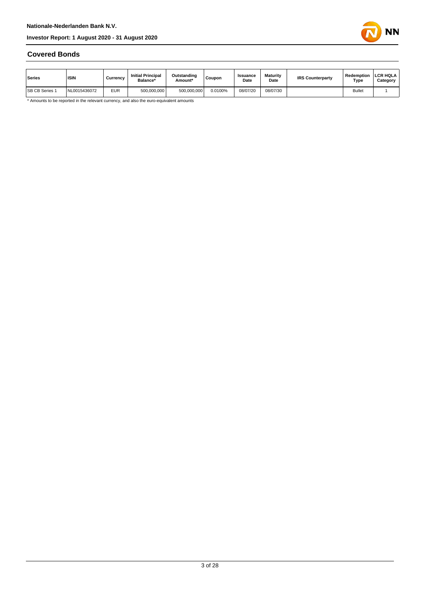

#### **Covered Bonds**

| Series                | <b>ISIN</b>  | Currency   | <b>Initial Principal</b><br>Balance* | Outstanding<br>Amount* | <b>Coupon</b> | Issuance<br>Date | <b>Maturity</b><br>Date | <b>IRS Counterparty</b> | Redemption<br>Type | <b>LCR HQLA</b><br>Category |
|-----------------------|--------------|------------|--------------------------------------|------------------------|---------------|------------------|-------------------------|-------------------------|--------------------|-----------------------------|
| <b>SB CB Series 1</b> | NL0015436072 | <b>EUR</b> | 500,000,000                          | 500.000.000            | 0.0100%       | 08/07/20         | 08/07/30                |                         | <b>Bullet</b>      |                             |

\* Amounts to be reported in the relevant currency, and also the euro-equivalent amounts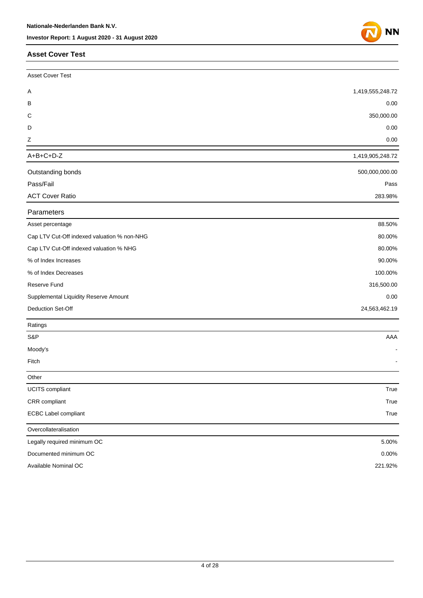#### **Asset Cover Test**



| <b>Asset Cover Test</b>                     |                  |
|---------------------------------------------|------------------|
| Α                                           | 1,419,555,248.72 |
| в                                           | 0.00             |
| С                                           | 350,000.00       |
| D                                           | 0.00             |
| Z                                           | 0.00             |
| $A+B+C+D-Z$                                 | 1,419,905,248.72 |
| Outstanding bonds                           | 500,000,000.00   |
| Pass/Fail                                   | Pass             |
| <b>ACT Cover Ratio</b>                      | 283.98%          |
| Parameters                                  |                  |
| Asset percentage                            | 88.50%           |
| Cap LTV Cut-Off indexed valuation % non-NHG | 80.00%           |
| Cap LTV Cut-Off indexed valuation % NHG     | 80.00%           |
| % of Index Increases                        | 90.00%           |
| % of Index Decreases                        | 100.00%          |
| Reserve Fund                                | 316,500.00       |
| Supplemental Liquidity Reserve Amount       | 0.00             |
| Deduction Set-Off                           | 24,563,462.19    |
| Ratings                                     |                  |
| S&P                                         | AAA              |
| Moody's                                     |                  |
| Fitch                                       |                  |
| Other                                       |                  |
| <b>UCITS</b> compliant                      | True             |
| CRR compliant                               | True             |
| <b>ECBC Label compliant</b>                 | True             |
| Overcollateralisation                       |                  |
| Legally required minimum OC                 | 5.00%            |
| Documented minimum OC                       | $0.00\%$         |
| Available Nominal OC                        | 221.92%          |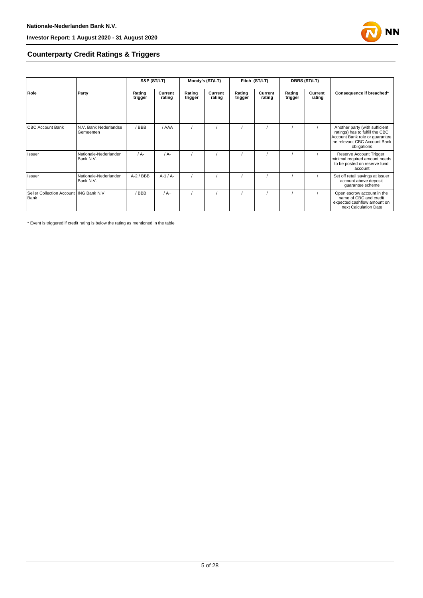

## **Counterparty Credit Ratings & Triggers**

|                                                   |                                    | S&P (ST/LT)       |                   | Moody's (ST/LT)   |                   | Fitch (ST/LT)     |                   | <b>DBRS (ST/LT)</b> |                   |                                                                                                                                                     |  |
|---------------------------------------------------|------------------------------------|-------------------|-------------------|-------------------|-------------------|-------------------|-------------------|---------------------|-------------------|-----------------------------------------------------------------------------------------------------------------------------------------------------|--|
| Role                                              | Party                              | Rating<br>trigger | Current<br>rating | Rating<br>trigger | Current<br>rating | Rating<br>trigger | Current<br>rating | Rating<br>trigger   | Current<br>rating | Consequence if breached*                                                                                                                            |  |
| <b>CBC Account Bank</b>                           | N.V. Bank Nederlandse<br>Gemeenten | / BBB             | / AAA             |                   |                   |                   |                   |                     |                   | Another party (with sufficient<br>ratings) has to fulfill the CBC<br>Account Bank role or guarantee<br>the relevant CBC Account Bank<br>obligations |  |
| Issuer                                            | Nationale-Nederlanden<br>Bank N.V. | $/A -$            | $/A -$            |                   |                   |                   |                   |                     |                   | Reserve Account Trigger,<br>minimal required amount needs<br>to be posted on reserve fund<br>account                                                |  |
| Issuer                                            | Nationale-Nederlanden<br>Bank N.V. | $A-2$ / BBB       | $A-1/A-$          |                   |                   |                   |                   |                     |                   | Set off retail savings at issuer<br>account above deposit<br>guarantee scheme                                                                       |  |
| Seller Collection Account   ING Bank N.V.<br>Bank |                                    | BBB               | $/A+$             |                   |                   |                   |                   |                     |                   | Open escrow account in the<br>name of CBC and credit<br>expected cashflow amount on<br>next Calculation Date                                        |  |

\* Event is triggered if credit rating is below the rating as mentioned in the table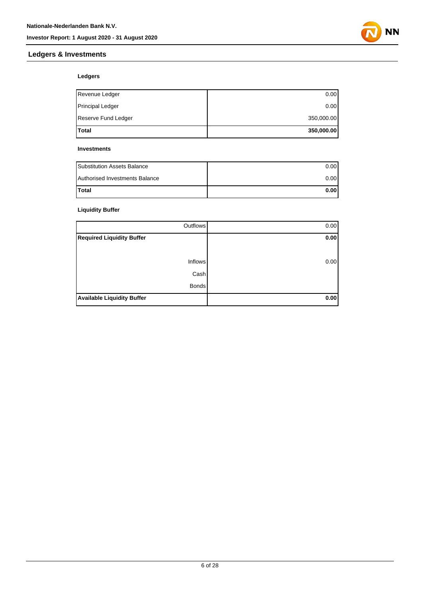



## **Ledgers**

| <b>Total</b>        | 350,000.00 |
|---------------------|------------|
| Reserve Fund Ledger | 350,000.00 |
| Principal Ledger    | 0.00       |
| Revenue Ledger      | 0.00       |

#### **Investments**

| <b>Substitution Assets Balance</b> | 0.001 |
|------------------------------------|-------|
| Authorised Investments Balance     | 0.001 |
| <b>Total</b>                       | 0.001 |

## **Liquidity Buffer**

| Outflows                          | 0.00 |
|-----------------------------------|------|
| <b>Required Liquidity Buffer</b>  | 0.00 |
|                                   |      |
| <b>Inflows</b>                    | 0.00 |
| Cash                              |      |
| <b>Bonds</b>                      |      |
| <b>Available Liquidity Buffer</b> | 0.00 |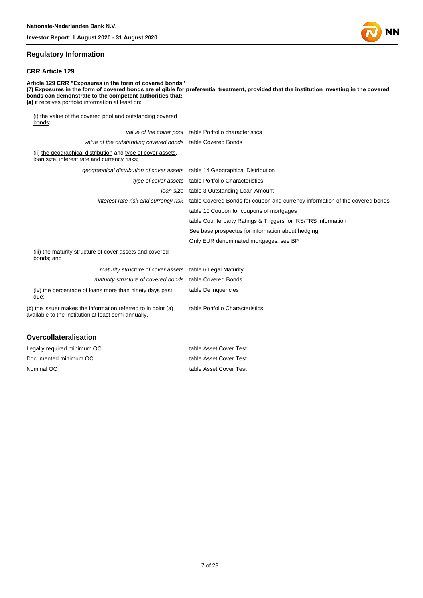

#### **Regulatory Information**

#### **CRR Article 129**

**Article 129 CRR "Exposures in the form of covered bonds" (7) Exposures in the form of covered bonds are eligible for preferential treatment, provided that the institution investing in the covered bonds can demonstrate to the competent authorities that: (a)** it receives portfolio information at least on: (i) the value of the covered pool and outstanding covered bonds; value of the cover pool table Portfolio characteristics value of the outstanding covered bonds table Covered Bonds (ii) the geographical distribution and type of cover assets, loan size, interest rate and currency risks; geographical distribution of cover assets table 14 Geographical Distribution

|                                                                                                                       | type of cover assets table Portfolio Characteristics                                                              |
|-----------------------------------------------------------------------------------------------------------------------|-------------------------------------------------------------------------------------------------------------------|
|                                                                                                                       | <i>loan size</i> table 3 Outstanding Loan Amount                                                                  |
|                                                                                                                       | interest rate risk and currency risk table Covered Bonds for coupon and currency information of the covered bonds |
|                                                                                                                       | table 10 Coupon for coupons of mortgages                                                                          |
|                                                                                                                       | table Counterparty Ratings & Triggers for IRS/TRS information                                                     |
|                                                                                                                       | See base prospectus for information about hedging                                                                 |
|                                                                                                                       | Only EUR denominated mortgages: see BP                                                                            |
| (iii) the maturity structure of cover assets and covered<br>bonds; and                                                |                                                                                                                   |
| maturity structure of cover assets table 6 Legal Maturity                                                             |                                                                                                                   |
| maturity structure of covered bonds table Covered Bonds                                                               |                                                                                                                   |
| (iv) the percentage of loans more than ninety days past<br>due;                                                       | table Delinguencies                                                                                               |
| (b) the issuer makes the information referred to in point (a)<br>available to the institution at least semi annually. | table Portfolio Characteristics                                                                                   |
|                                                                                                                       |                                                                                                                   |

#### **Overcollateralisation**

| Legally required minimum OC | table Asset Cover Test |
|-----------------------------|------------------------|
| Documented minimum OC       | table Asset Cover Test |
| Nominal OC                  | table Asset Cover Test |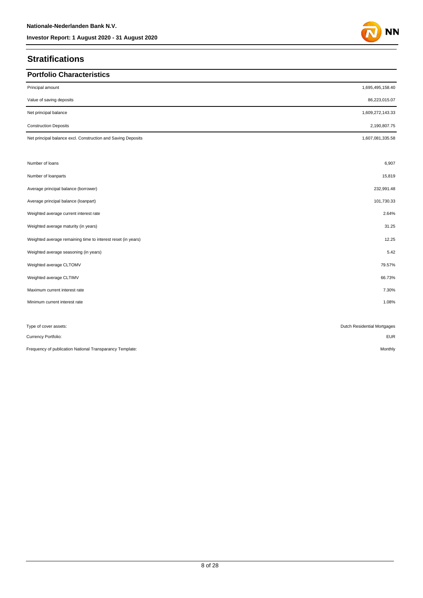## **Stratifications**

| <b>Portfolio Characteristics</b>                             |                             |
|--------------------------------------------------------------|-----------------------------|
| Principal amount                                             | 1,695,495,158.40            |
| Value of saving deposits                                     | 86,223,015.07               |
| Net principal balance                                        | 1,609,272,143.33            |
| <b>Construction Deposits</b>                                 | 2,190,807.75                |
| Net principal balance excl. Construction and Saving Deposits | 1,607,081,335.58            |
|                                                              |                             |
| Number of loans                                              | 6,907                       |
| Number of loanparts                                          | 15,819                      |
| Average principal balance (borrower)                         | 232,991.48                  |
| Average principal balance (loanpart)                         | 101,730.33                  |
| Weighted average current interest rate                       | 2.64%                       |
| Weighted average maturity (in years)                         | 31.25                       |
| Weighted average remaining time to interest reset (in years) | 12.25                       |
| Weighted average seasoning (in years)                        | 5.42                        |
| Weighted average CLTOMV                                      | 79.57%                      |
| Weighted average CLTIMV                                      | 66.73%                      |
| Maximum current interest rate                                | 7.30%                       |
| Minimum current interest rate                                | 1.08%                       |
|                                                              |                             |
| Type of cover assets:                                        | Dutch Residential Mortgages |
| Currency Portfolio:                                          | <b>EUR</b>                  |
| Frequency of publication National Transparancy Template:     | Monthly                     |

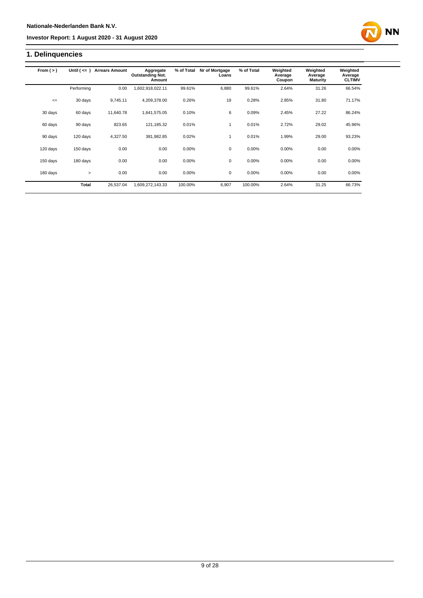## **1. Delinquencies**

| From $(>)$ | Until $($ <= $)$ | <b>Arrears Amount</b> | Aggregate                         | % of Total | Nr of Mortgage | % of Total | Weighted          | Weighted                   | Weighted                 |
|------------|------------------|-----------------------|-----------------------------------|------------|----------------|------------|-------------------|----------------------------|--------------------------|
|            |                  |                       | <b>Outstanding Not.</b><br>Amount |            | Loans          |            | Average<br>Coupon | Average<br><b>Maturity</b> | Average<br><b>CLTIMV</b> |
|            | Performing       | 0.00                  | 1,602,918,022.11                  | 99.61%     | 6.880          | 99.61%     | 2.64%             | 31.26                      | 66.54%                   |
| $\leq$     | 30 days          | 9,745.11              | 4,209,378.00                      | 0.26%      | 19             | 0.28%      | 2.85%             | 31.80                      | 71.17%                   |
| 30 days    | 60 days          | 11,640.78             | 1,641,575.05                      | 0.10%      | 6              | 0.09%      | 2.45%             | 27.22                      | 86.24%                   |
| 60 days    | 90 days          | 823.65                | 121,185.32                        | 0.01%      | 1              | 0.01%      | 2.72%             | 29.02                      | 45.96%                   |
| 90 days    | 120 days         | 4,327.50              | 381,982.85                        | 0.02%      | 1              | 0.01%      | 1.99%             | 29.00                      | 93.23%                   |
| 120 days   | 150 days         | 0.00                  | 0.00                              | 0.00%      | $\mathbf 0$    | 0.00%      | 0.00%             | 0.00                       | 0.00%                    |
| 150 days   | 180 days         | 0.00                  | 0.00                              | 0.00%      | $\mathbf 0$    | 0.00%      | 0.00%             | 0.00                       | 0.00%                    |
| 180 days   | $\geq$           | 0.00                  | 0.00                              | 0.00%      | $\mathbf 0$    | 0.00%      | 0.00%             | 0.00                       | 0.00%                    |
|            | Total            | 26,537.04             | 1,609,272,143.33                  | 100.00%    | 6,907          | 100.00%    | 2.64%             | 31.25                      | 66.73%                   |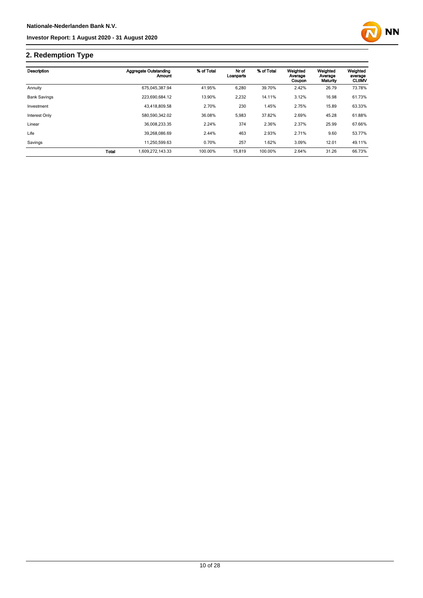

## **2. Redemption Type**

| Description         |       | Aggregate Outstanding<br>Amount | % of Total | Nr of<br>Loanparts | % of Total | Weighted<br>Average<br>Coupon | Weighted<br>Average<br>Maturity | Weighted<br>average<br><b>CLtIMV</b> |
|---------------------|-------|---------------------------------|------------|--------------------|------------|-------------------------------|---------------------------------|--------------------------------------|
| Annuity             |       | 675.045.387.94                  | 41.95%     | 6,280              | 39.70%     | 2.42%                         | 26.79                           | 73.78%                               |
| <b>Bank Savings</b> |       | 223.690.684.12                  | 13.90%     | 2,232              | 14.11%     | 3.12%                         | 16.98                           | 61.73%                               |
| Investment          |       | 43.418.809.58                   | 2.70%      | 230                | 1.45%      | 2.75%                         | 15.89                           | 63.33%                               |
| Interest Only       |       | 580,590,342.02                  | 36.08%     | 5,983              | 37.82%     | 2.69%                         | 45.28                           | 61.88%                               |
| Linear              |       | 36.008.233.35                   | 2.24%      | 374                | 2.36%      | 2.37%                         | 25.99                           | 67.66%                               |
| Life                |       | 39.268.086.69                   | 2.44%      | 463                | 2.93%      | 2.71%                         | 9.60                            | 53.77%                               |
| Savings             |       | 11.250.599.63                   | 0.70%      | 257                | 1.62%      | 3.09%                         | 12.01                           | 49.11%                               |
|                     | Total | 1.609.272.143.33                | 100.00%    | 15,819             | 100.00%    | 2.64%                         | 31.26                           | 66.73%                               |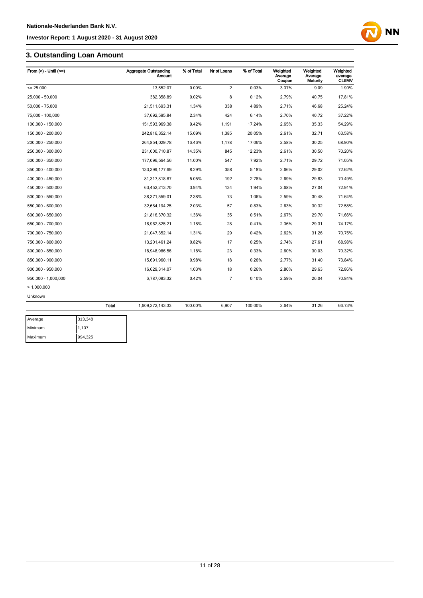## **3. Outstanding Loan Amount**

| From $(>)$ - Until $(<=)$ |              | <b>Aggregate Outstanding</b><br>Amount | % of Total | Nr of Loans    | % of Total | Weighted<br>Average<br>Coupon | Weighted<br>Average<br>Maturity | Weighted<br>average<br><b>CLtIMV</b> |
|---------------------------|--------------|----------------------------------------|------------|----------------|------------|-------------------------------|---------------------------------|--------------------------------------|
| $= 25.000$                |              | 13,552.07                              | 0.00%      | $\overline{2}$ | 0.03%      | 3.37%                         | 9.09                            | 1.90%                                |
| 25.000 - 50.000           |              | 382.358.89                             | 0.02%      | 8              | 0.12%      | 2.79%                         | 40.75                           | 17.81%                               |
| 50,000 - 75,000           |              | 21,511,693.31                          | 1.34%      | 338            | 4.89%      | 2.71%                         | 46.68                           | 25.24%                               |
| 75,000 - 100,000          |              | 37,692,595.84                          | 2.34%      | 424            | 6.14%      | 2.70%                         | 40.72                           | 37.22%                               |
| 100,000 - 150,000         |              | 151,593,969.38                         | 9.42%      | 1,191          | 17.24%     | 2.65%                         | 35.33                           | 54.29%                               |
| 150,000 - 200,000         |              | 242,816,352.14                         | 15.09%     | 1,385          | 20.05%     | 2.61%                         | 32.71                           | 63.58%                               |
| 200,000 - 250,000         |              | 264,854,029.78                         | 16.46%     | 1,178          | 17.06%     | 2.58%                         | 30.25                           | 68.90%                               |
| 250,000 - 300,000         |              | 231,000,710.87                         | 14.35%     | 845            | 12.23%     | 2.61%                         | 30.50                           | 70.20%                               |
| 300,000 - 350,000         |              | 177,096,564.56                         | 11.00%     | 547            | 7.92%      | 2.71%                         | 29.72                           | 71.05%                               |
| 350,000 - 400,000         |              | 133,399,177.69                         | 8.29%      | 358            | 5.18%      | 2.66%                         | 29.02                           | 72.62%                               |
| 400,000 - 450,000         |              | 81,317,818.87                          | 5.05%      | 192            | 2.78%      | 2.69%                         | 29.83                           | 70.49%                               |
| 450,000 - 500,000         |              | 63,452,213.70                          | 3.94%      | 134            | 1.94%      | 2.68%                         | 27.04                           | 72.91%                               |
| 500,000 - 550,000         |              | 38,371,559.01                          | 2.38%      | 73             | 1.06%      | 2.59%                         | 30.48                           | 71.64%                               |
| 550.000 - 600.000         |              | 32,684,194.25                          | 2.03%      | 57             | 0.83%      | 2.63%                         | 30.32                           | 72.58%                               |
| 600,000 - 650,000         |              | 21,816,370.32                          | 1.36%      | 35             | 0.51%      | 2.67%                         | 29.70                           | 71.66%                               |
| 650,000 - 700,000         |              | 18,962,825.21                          | 1.18%      | 28             | 0.41%      | 2.36%                         | 29.31                           | 74.17%                               |
| 700,000 - 750,000         |              | 21,047,352.14                          | 1.31%      | 29             | 0.42%      | 2.62%                         | 31.26                           | 70.75%                               |
| 750,000 - 800,000         |              | 13,201,461.24                          | 0.82%      | 17             | 0.25%      | 2.74%                         | 27.61                           | 68.98%                               |
| 800,000 - 850,000         |              | 18,948,986.56                          | 1.18%      | 23             | 0.33%      | 2.60%                         | 30.03                           | 70.32%                               |
| 850,000 - 900,000         |              | 15,691,960.11                          | 0.98%      | 18             | 0.26%      | 2.77%                         | 31.40                           | 73.84%                               |
| 900,000 - 950,000         |              | 16,629,314.07                          | 1.03%      | 18             | 0.26%      | 2.80%                         | 29.63                           | 72.86%                               |
| 950,000 - 1,000,000       |              | 6,787,083.32                           | 0.42%      | 7              | 0.10%      | 2.59%                         | 26.04                           | 70.84%                               |
| >1.000.000                |              |                                        |            |                |            |                               |                                 |                                      |
| Unknown                   |              |                                        |            |                |            |                               |                                 |                                      |
|                           | <b>Total</b> | 1,609,272,143.33                       | 100.00%    | 6,907          | 100.00%    | 2.64%                         | 31.26                           | 66.73%                               |
| Average                   | 313,348      |                                        |            |                |            |                               |                                 |                                      |

| Average | 313,348 |
|---------|---------|
| Minimum | 1,107   |
| Maximum | 994,325 |

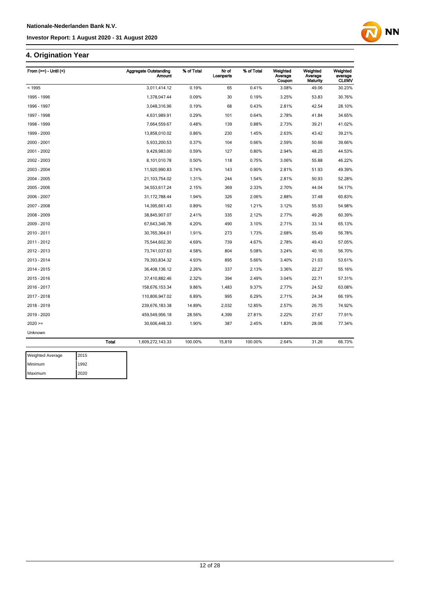## **4. Origination Year**

| From $(>=)$ - Until $($ |              | <b>Aggregate Outstanding</b><br>Amount | % of Total | Nr of<br>Loanparts | % of Total | Weighted<br>Average<br>Coupon | Weighted<br>Average<br>Maturity | Weighted<br>average<br><b>CLtIMV</b> |
|-------------------------|--------------|----------------------------------------|------------|--------------------|------------|-------------------------------|---------------------------------|--------------------------------------|
| < 1995                  |              | 3,011,414.12                           | 0.19%      | 65                 | 0.41%      | 3.08%                         | 49.06                           | 30.23%                               |
| 1995 - 1996             |              | 1,378,047.44                           | 0.09%      | 30                 | 0.19%      | 3.25%                         | 53.83                           | 30.76%                               |
| 1996 - 1997             |              | 3,048,316.96                           | 0.19%      | 68                 | 0.43%      | 2.81%                         | 42.54                           | 28.10%                               |
| 1997 - 1998             |              | 4,631,989.91                           | 0.29%      | 101                | 0.64%      | 2.78%                         | 41.84                           | 34.65%                               |
| 1998 - 1999             |              | 7,664,559.67                           | 0.48%      | 139                | 0.88%      | 2.73%                         | 39.21                           | 41.02%                               |
| 1999 - 2000             |              | 13,858,010.02                          | 0.86%      | 230                | 1.45%      | 2.63%                         | 43.42                           | 39.21%                               |
| 2000 - 2001             |              | 5,933,200.53                           | 0.37%      | 104                | 0.66%      | 2.59%                         | 50.66                           | 39.66%                               |
| 2001 - 2002             |              | 9,429,983.00                           | 0.59%      | 127                | 0.80%      | 2.94%                         | 48.25                           | 44.53%                               |
| 2002 - 2003             |              | 8,101,010.78                           | 0.50%      | 118                | 0.75%      | 3.06%                         | 55.88                           | 46.22%                               |
| 2003 - 2004             |              | 11,920,990.83                          | 0.74%      | 143                | 0.90%      | 2.81%                         | 51.93                           | 49.39%                               |
| 2004 - 2005             |              | 21,103,754.02                          | 1.31%      | 244                | 1.54%      | 2.81%                         | 50.93                           | 52.28%                               |
| 2005 - 2006             |              | 34,553,617.24                          | 2.15%      | 369                | 2.33%      | 2.70%                         | 44.04                           | 54.17%                               |
| 2006 - 2007             |              | 31, 172, 788.44                        | 1.94%      | 326                | 2.06%      | 2.88%                         | 37.48                           | 60.83%                               |
| 2007 - 2008             |              | 14,395,661.43                          | 0.89%      | 192                | 1.21%      | 3.12%                         | 55.93                           | 54.98%                               |
| 2008 - 2009             |              | 38,845,907.07                          | 2.41%      | 335                | 2.12%      | 2.77%                         | 49.26                           | 60.39%                               |
| 2009 - 2010             |              | 67,643,346.78                          | 4.20%      | 490                | 3.10%      | 2.71%                         | 33.14                           | 65.13%                               |
| 2010 - 2011             |              | 30,765,364.01                          | 1.91%      | 273                | 1.73%      | 2.68%                         | 55.49                           | 56.78%                               |
| 2011 - 2012             |              | 75,544,602.30                          | 4.69%      | 739                | 4.67%      | 2.78%                         | 49.43                           | 57.05%                               |
| 2012 - 2013             |              | 73,741,037.63                          | 4.58%      | 804                | 5.08%      | 3.24%                         | 40.16                           | 56.70%                               |
| 2013 - 2014             |              | 79,393,834.32                          | 4.93%      | 895                | 5.66%      | 3.40%                         | 21.03                           | 53.61%                               |
| 2014 - 2015             |              | 36,408,136.12                          | 2.26%      | 337                | 2.13%      | 3.36%                         | 22.27                           | 55.16%                               |
| 2015 - 2016             |              | 37,410,882.46                          | 2.32%      | 394                | 2.49%      | 3.04%                         | 22.71                           | 57.31%                               |
| 2016 - 2017             |              | 158,676,153.34                         | 9.86%      | 1,483              | 9.37%      | 2.77%                         | 24.52                           | 63.08%                               |
| 2017 - 2018             |              | 110,806,947.02                         | 6.89%      | 995                | 6.29%      | 2.71%                         | 24.34                           | 66.19%                               |
| 2018 - 2019             |              | 239,676,183.38                         | 14.89%     | 2,032              | 12.85%     | 2.57%                         | 26.75                           | 74.92%                               |
| 2019 - 2020             |              | 459,549,956.18                         | 28.56%     | 4,399              | 27.81%     | 2.22%                         | 27.67                           | 77.91%                               |
| $2020 =$                |              | 30,606,448.33                          | 1.90%      | 387                | 2.45%      | 1.83%                         | 28.06                           | 77.34%                               |
| Unknown                 |              |                                        |            |                    |            |                               |                                 |                                      |
|                         | <b>Total</b> | 1,609,272,143.33                       | 100.00%    | 15,819             | 100.00%    | 2.64%                         | 31.26                           | 66.73%                               |
|                         |              |                                        |            |                    |            |                               |                                 |                                      |

| <b>Weighted Average</b> | 2015  |
|-------------------------|-------|
| Minimum                 | 11992 |
| Maximum                 | 2020  |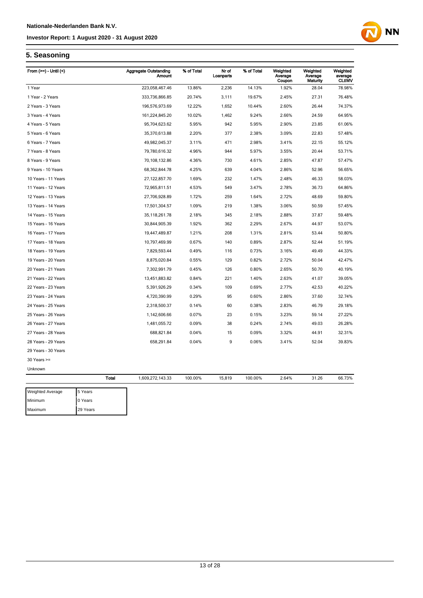# **NN**

## **5. Seasoning**

| From $(>=) -$ Until $($ |              | <b>Aggregate Outstanding</b><br><b>Amount</b> | % of Total | Nr of<br>Loanparts | % of Total | Weighted<br>Average<br>Coupon | Weighted<br>Average<br>Maturity | Weighted<br>average<br><b>CLtIMV</b> |
|-------------------------|--------------|-----------------------------------------------|------------|--------------------|------------|-------------------------------|---------------------------------|--------------------------------------|
| 1 Year                  |              | 223,058,467.46                                | 13.86%     | 2,236              | 14.13%     | 1.92%                         | 28.04                           | 78.98%                               |
| 1 Year - 2 Years        |              | 333,736,866.85                                | 20.74%     | 3,111              | 19.67%     | 2.45%                         | 27.31                           | 76.48%                               |
| 2 Years - 3 Years       |              | 196,576,973.69                                | 12.22%     | 1,652              | 10.44%     | 2.60%                         | 26.44                           | 74.37%                               |
| 3 Years - 4 Years       |              | 161,224,845.20                                | 10.02%     | 1,462              | 9.24%      | 2.66%                         | 24.59                           | 64.95%                               |
| 4 Years - 5 Years       |              | 95,704,623.62                                 | 5.95%      | 942                | 5.95%      | 2.90%                         | 23.85                           | 61.06%                               |
| 5 Years - 6 Years       |              | 35,370,613.88                                 | 2.20%      | 377                | 2.38%      | 3.09%                         | 22.83                           | 57.48%                               |
| 6 Years - 7 Years       |              | 49,982,045.37                                 | 3.11%      | 471                | 2.98%      | 3.41%                         | 22.15                           | 55.12%                               |
| 7 Years - 8 Years       |              | 79,780,616.32                                 | 4.96%      | 944                | 5.97%      | 3.55%                         | 20.44                           | 53.71%                               |
| 8 Years - 9 Years       |              | 70,108,132.86                                 | 4.36%      | 730                | 4.61%      | 2.85%                         | 47.87                           | 57.47%                               |
| 9 Years - 10 Years      |              | 68,362,844.78                                 | 4.25%      | 639                | 4.04%      | 2.86%                         | 52.96                           | 56.65%                               |
| 10 Years - 11 Years     |              | 27, 122, 857.70                               | 1.69%      | 232                | 1.47%      | 2.48%                         | 46.33                           | 58.03%                               |
| 11 Years - 12 Years     |              | 72,965,811.51                                 | 4.53%      | 549                | 3.47%      | 2.78%                         | 36.73                           | 64.86%                               |
| 12 Years - 13 Years     |              | 27,706,928.89                                 | 1.72%      | 259                | 1.64%      | 2.72%                         | 48.69                           | 59.80%                               |
| 13 Years - 14 Years     |              | 17,501,304.57                                 | 1.09%      | 219                | 1.38%      | 3.06%                         | 50.59                           | 57.45%                               |
| 14 Years - 15 Years     |              | 35, 118, 261. 78                              | 2.18%      | 345                | 2.18%      | 2.88%                         | 37.87                           | 59.48%                               |
| 15 Years - 16 Years     |              | 30,844,905.39                                 | 1.92%      | 362                | 2.29%      | 2.67%                         | 44.97                           | 53.07%                               |
| 16 Years - 17 Years     |              | 19,447,489.87                                 | 1.21%      | 208                | 1.31%      | 2.81%                         | 53.44                           | 50.80%                               |
| 17 Years - 18 Years     |              | 10,797,469.99                                 | 0.67%      | 140                | 0.89%      | 2.87%                         | 52.44                           | 51.19%                               |
| 18 Years - 19 Years     |              | 7,829,593.44                                  | 0.49%      | 116                | 0.73%      | 3.16%                         | 49.49                           | 44.33%                               |
| 19 Years - 20 Years     |              | 8,875,020.84                                  | 0.55%      | 129                | 0.82%      | 2.72%                         | 50.04                           | 42.47%                               |
| 20 Years - 21 Years     |              | 7,302,991.79                                  | 0.45%      | 126                | 0.80%      | 2.65%                         | 50.70                           | 40.19%                               |
| 21 Years - 22 Years     |              | 13,451,883.82                                 | 0.84%      | 221                | 1.40%      | 2.63%                         | 41.07                           | 39.05%                               |
| 22 Years - 23 Years     |              | 5,391,926.29                                  | 0.34%      | 109                | 0.69%      | 2.77%                         | 42.53                           | 40.22%                               |
| 23 Years - 24 Years     |              | 4,720,390.99                                  | 0.29%      | 95                 | 0.60%      | 2.86%                         | 37.60                           | 32.74%                               |
| 24 Years - 25 Years     |              | 2,318,500.37                                  | 0.14%      | 60                 | 0.38%      | 2.83%                         | 46.79                           | 29.18%                               |
| 25 Years - 26 Years     |              | 1,142,606.66                                  | 0.07%      | 23                 | 0.15%      | 3.23%                         | 59.14                           | 27.22%                               |
| 26 Years - 27 Years     |              | 1,481,055.72                                  | 0.09%      | 38                 | 0.24%      | 2.74%                         | 49.03                           | 26.28%                               |
| 27 Years - 28 Years     |              | 688,821.84                                    | 0.04%      | 15                 | 0.09%      | 3.32%                         | 44.91                           | 32.31%                               |
| 28 Years - 29 Years     |              | 658,291.84                                    | 0.04%      | 9                  | 0.06%      | 3.41%                         | 52.04                           | 39.83%                               |
| 29 Years - 30 Years     |              |                                               |            |                    |            |                               |                                 |                                      |
| $30$ Years $>=$         |              |                                               |            |                    |            |                               |                                 |                                      |
| Unknown                 |              |                                               |            |                    |            |                               |                                 |                                      |
|                         | <b>Total</b> | 1,609,272,143.33                              | 100.00%    | 15,819             | 100.00%    | 2.64%                         | 31.26                           | 66.73%                               |
| Weighted Average        | 5 Years      |                                               |            |                    |            |                               |                                 |                                      |
| Minimum                 | 0 Years      |                                               |            |                    |            |                               |                                 |                                      |
| Maximum                 | 29 Years     |                                               |            |                    |            |                               |                                 |                                      |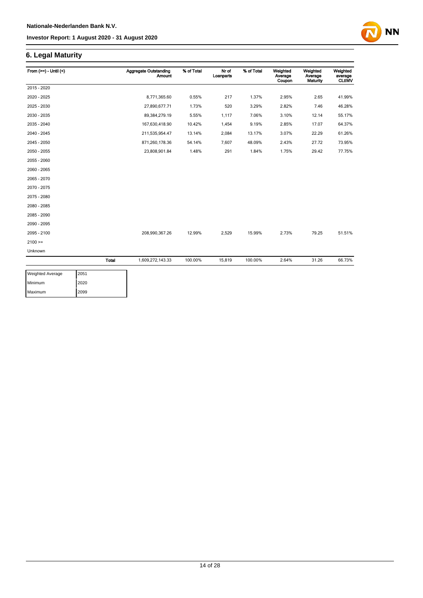## **6. Legal Maturity**

| From $(>=) -$ Until $($ |       | <b>Aggregate Outstanding</b><br><b>Amount</b> | % of Total | Nr of<br>Loanparts | % of Total | Weighted<br>Average<br>Coupon | Weighted<br>Average<br><b>Maturity</b> | Weighted<br>average<br><b>CLtIMV</b> |
|-------------------------|-------|-----------------------------------------------|------------|--------------------|------------|-------------------------------|----------------------------------------|--------------------------------------|
| 2015 - 2020             |       |                                               |            |                    |            |                               |                                        |                                      |
| 2020 - 2025             |       | 8,771,365.60                                  | 0.55%      | 217                | 1.37%      | 2.95%                         | 2.65                                   | 41.99%                               |
| 2025 - 2030             |       | 27,890,677.71                                 | 1.73%      | 520                | 3.29%      | 2.82%                         | 7.46                                   | 46.28%                               |
| 2030 - 2035             |       | 89, 384, 279. 19                              | 5.55%      | 1,117              | 7.06%      | 3.10%                         | 12.14                                  | 55.17%                               |
| 2035 - 2040             |       | 167,630,418.90                                | 10.42%     | 1,454              | 9.19%      | 2.85%                         | 17.07                                  | 64.37%                               |
| 2040 - 2045             |       | 211,535,954.47                                | 13.14%     | 2,084              | 13.17%     | 3.07%                         | 22.29                                  | 61.26%                               |
| 2045 - 2050             |       | 871,260,178.36                                | 54.14%     | 7,607              | 48.09%     | 2.43%                         | 27.72                                  | 73.95%                               |
| 2050 - 2055             |       | 23,808,901.84                                 | 1.48%      | 291                | 1.84%      | 1.75%                         | 29.42                                  | 77.75%                               |
| 2055 - 2060             |       |                                               |            |                    |            |                               |                                        |                                      |
| 2060 - 2065             |       |                                               |            |                    |            |                               |                                        |                                      |
| 2065 - 2070             |       |                                               |            |                    |            |                               |                                        |                                      |
| 2070 - 2075             |       |                                               |            |                    |            |                               |                                        |                                      |
| 2075 - 2080             |       |                                               |            |                    |            |                               |                                        |                                      |
| 2080 - 2085             |       |                                               |            |                    |            |                               |                                        |                                      |
| 2085 - 2090             |       |                                               |            |                    |            |                               |                                        |                                      |
| 2090 - 2095             |       |                                               |            |                    |            |                               |                                        |                                      |
| 2095 - 2100             |       | 208,990,367.26                                | 12.99%     | 2,529              | 15.99%     | 2.73%                         | 79.25                                  | 51.51%                               |
| $2100 =$                |       |                                               |            |                    |            |                               |                                        |                                      |
| Unknown                 |       |                                               |            |                    |            |                               |                                        |                                      |
|                         | Total | 1,609,272,143.33                              | 100.00%    | 15,819             | 100.00%    | 2.64%                         | 31.26                                  | 66.73%                               |

| Weighted Average | 2051 |
|------------------|------|
| Minimum          | 2020 |
| Maximum          | 2099 |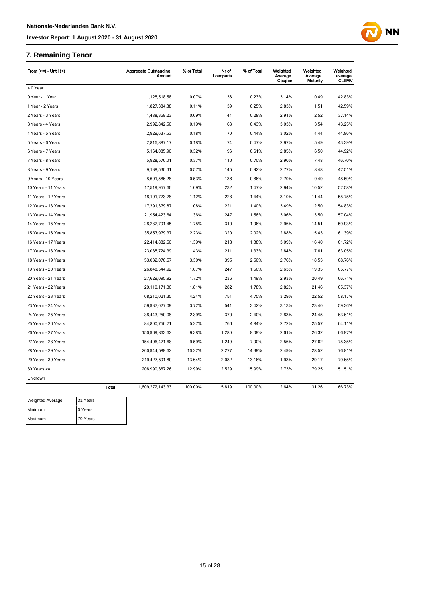## **7. Remaining Tenor**

Maximum 79 Years

| From (>=) - Until (<)   |              | <b>Aggregate Outstanding</b><br>Amount | % of Total | Nr of<br>Loanparts | % of Total | Weighted<br>Average<br>Coupon | Weighted<br>Average<br>Maturity | Weighted<br>average<br><b>CLtIMV</b> |
|-------------------------|--------------|----------------------------------------|------------|--------------------|------------|-------------------------------|---------------------------------|--------------------------------------|
| < 0 Year                |              |                                        |            |                    |            |                               |                                 |                                      |
| 0 Year - 1 Year         |              | 1,125,518.58                           | 0.07%      | 36                 | 0.23%      | 3.14%                         | 0.49                            | 42.83%                               |
| 1 Year - 2 Years        |              | 1,827,384.88                           | 0.11%      | 39                 | 0.25%      | 2.83%                         | 1.51                            | 42.59%                               |
| 2 Years - 3 Years       |              | 1,488,359.23                           | 0.09%      | 44                 | 0.28%      | 2.91%                         | 2.52                            | 37.14%                               |
| 3 Years - 4 Years       |              | 2,992,842.50                           | 0.19%      | 68                 | 0.43%      | 3.03%                         | 3.54                            | 43.25%                               |
| 4 Years - 5 Years       |              | 2,929,637.53                           | 0.18%      | 70                 | 0.44%      | 3.02%                         | 4.44                            | 44.86%                               |
| 5 Years - 6 Years       |              | 2,816,887.17                           | 0.18%      | 74                 | 0.47%      | 2.97%                         | 5.49                            | 43.39%                               |
| 6 Years - 7 Years       |              | 5,164,085.90                           | 0.32%      | 96                 | 0.61%      | 2.85%                         | 6.50                            | 44.92%                               |
| 7 Years - 8 Years       |              | 5,928,576.01                           | 0.37%      | 110                | 0.70%      | 2.90%                         | 7.48                            | 46.70%                               |
| 8 Years - 9 Years       |              | 9,138,530.61                           | 0.57%      | 145                | 0.92%      | 2.77%                         | 8.48                            | 47.51%                               |
| 9 Years - 10 Years      |              | 8,601,586.28                           | 0.53%      | 136                | 0.86%      | 2.70%                         | 9.49                            | 48.59%                               |
| 10 Years - 11 Years     |              | 17,519,957.66                          | 1.09%      | 232                | 1.47%      | 2.94%                         | 10.52                           | 52.58%                               |
| 11 Years - 12 Years     |              | 18, 101, 773. 78                       | 1.12%      | 228                | 1.44%      | 3.10%                         | 11.44                           | 55.75%                               |
| 12 Years - 13 Years     |              | 17,391,379.87                          | 1.08%      | 221                | 1.40%      | 3.49%                         | 12.50                           | 54.83%                               |
| 13 Years - 14 Years     |              | 21,954,423.64                          | 1.36%      | 247                | 1.56%      | 3.06%                         | 13.50                           | 57.04%                               |
| 14 Years - 15 Years     |              | 28,232,791.45                          | 1.75%      | 310                | 1.96%      | 2.96%                         | 14.51                           | 59.93%                               |
| 15 Years - 16 Years     |              | 35,857,979.37                          | 2.23%      | 320                | 2.02%      | 2.88%                         | 15.43                           | 61.39%                               |
| 16 Years - 17 Years     |              | 22,414,882.50                          | 1.39%      | 218                | 1.38%      | 3.09%                         | 16.40                           | 61.72%                               |
| 17 Years - 18 Years     |              | 23,035,724.39                          | 1.43%      | 211                | 1.33%      | 2.84%                         | 17.61                           | 63.05%                               |
| 18 Years - 19 Years     |              | 53,032,070.57                          | 3.30%      | 395                | 2.50%      | 2.76%                         | 18.53                           | 68.76%                               |
| 19 Years - 20 Years     |              | 26,848,544.92                          | 1.67%      | 247                | 1.56%      | 2.63%                         | 19.35                           | 65.77%                               |
| 20 Years - 21 Years     |              | 27,629,095.92                          | 1.72%      | 236                | 1.49%      | 2.93%                         | 20.49                           | 66.71%                               |
| 21 Years - 22 Years     |              | 29,110,171.36                          | 1.81%      | 282                | 1.78%      | 2.82%                         | 21.46                           | 65.37%                               |
| 22 Years - 23 Years     |              | 68,210,021.35                          | 4.24%      | 751                | 4.75%      | 3.29%                         | 22.52                           | 58.17%                               |
| 23 Years - 24 Years     |              | 59,937,027.09                          | 3.72%      | 541                | 3.42%      | 3.13%                         | 23.40                           | 59.36%                               |
| 24 Years - 25 Years     |              | 38,443,250.08                          | 2.39%      | 379                | 2.40%      | 2.83%                         | 24.45                           | 63.61%                               |
| 25 Years - 26 Years     |              | 84,800,756.71                          | 5.27%      | 766                | 4.84%      | 2.72%                         | 25.57                           | 64.11%                               |
| 26 Years - 27 Years     |              | 150,969,863.62                         | 9.38%      | 1,280              | 8.09%      | 2.61%                         | 26.32                           | 66.97%                               |
| 27 Years - 28 Years     |              | 154,406,471.68                         | 9.59%      | 1,249              | 7.90%      | 2.56%                         | 27.62                           | 75.35%                               |
| 28 Years - 29 Years     |              | 260,944,589.62                         | 16.22%     | 2,277              | 14.39%     | 2.49%                         | 28.52                           | 76.81%                               |
| 29 Years - 30 Years     |              | 219,427,591.80                         | 13.64%     | 2,082              | 13.16%     | 1.93%                         | 29.17                           | 79.65%                               |
| $30$ Years $>=$         |              | 208,990,367.26                         | 12.99%     | 2,529              | 15.99%     | 2.73%                         | 79.25                           | 51.51%                               |
| Unknown                 |              |                                        |            |                    |            |                               |                                 |                                      |
|                         | <b>Total</b> | 1,609,272,143.33                       | 100.00%    | 15,819             | 100.00%    | 2.64%                         | 31.26                           | 66.73%                               |
| <b>Weighted Average</b> | 31 Years     |                                        |            |                    |            |                               |                                 |                                      |
| Minimum                 | 0 Years      |                                        |            |                    |            |                               |                                 |                                      |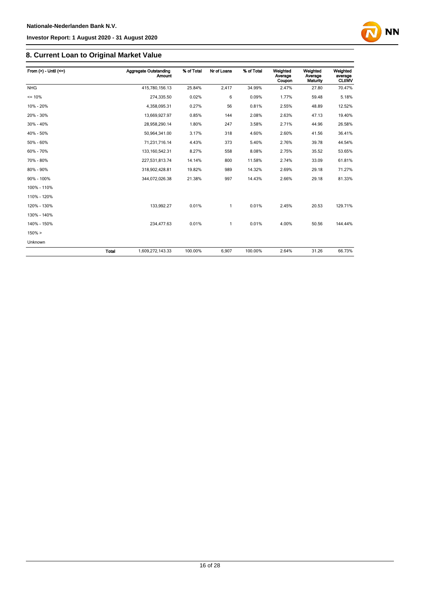## **8. Current Loan to Original Market Value**

| From $(>)$ - Until $(<=)$ |              | Aggregate Outstanding<br><b>Amount</b> | % of Total | Nr of Loans | % of Total | Weighted<br>Average<br>Coupon | Weighted<br>Average<br>Maturity | Weighted<br>average<br><b>CLtIMV</b> |
|---------------------------|--------------|----------------------------------------|------------|-------------|------------|-------------------------------|---------------------------------|--------------------------------------|
| <b>NHG</b>                |              | 415,780,156.13                         | 25.84%     | 2,417       | 34.99%     | 2.47%                         | 27.80                           | 70.47%                               |
| $= 10%$                   |              | 274,335.50                             | 0.02%      | 6           | 0.09%      | 1.77%                         | 59.48                           | 5.18%                                |
| 10% - 20%                 |              | 4,358,095.31                           | 0.27%      | 56          | 0.81%      | 2.55%                         | 48.89                           | 12.52%                               |
| 20% - 30%                 |              | 13,669,927.97                          | 0.85%      | 144         | 2.08%      | 2.63%                         | 47.13                           | 19.40%                               |
| 30% - 40%                 |              | 28,958,290.14                          | 1.80%      | 247         | 3.58%      | 2.71%                         | 44.96                           | 26.58%                               |
| 40% - 50%                 |              | 50,964,341.00                          | 3.17%      | 318         | 4.60%      | 2.60%                         | 41.56                           | 36.41%                               |
| 50% - 60%                 |              | 71,231,716.14                          | 4.43%      | 373         | 5.40%      | 2.76%                         | 39.78                           | 44.54%                               |
| 60% - 70%                 |              | 133, 160, 542. 31                      | 8.27%      | 558         | 8.08%      | 2.75%                         | 35.52                           | 53.65%                               |
| 70% - 80%                 |              | 227,531,813.74                         | 14.14%     | 800         | 11.58%     | 2.74%                         | 33.09                           | 61.81%                               |
| 80% - 90%                 |              | 318,902,428.81                         | 19.82%     | 989         | 14.32%     | 2.69%                         | 29.18                           | 71.27%                               |
| 90% - 100%                |              | 344,072,026.38                         | 21.38%     | 997         | 14.43%     | 2.66%                         | 29.18                           | 81.33%                               |
| 100% - 110%               |              |                                        |            |             |            |                               |                                 |                                      |
| 110% - 120%               |              |                                        |            |             |            |                               |                                 |                                      |
| 120% - 130%               |              | 133,992.27                             | 0.01%      | 1           | 0.01%      | 2.45%                         | 20.53                           | 129.71%                              |
| 130% - 140%               |              |                                        |            |             |            |                               |                                 |                                      |
| 140% - 150%               |              | 234,477.63                             | 0.01%      | 1           | 0.01%      | 4.00%                         | 50.56                           | 144.44%                              |
| 150% >                    |              |                                        |            |             |            |                               |                                 |                                      |
| Unknown                   |              |                                        |            |             |            |                               |                                 |                                      |
|                           | <b>Total</b> | 1,609,272,143.33                       | 100.00%    | 6.907       | 100.00%    | 2.64%                         | 31.26                           | 66.73%                               |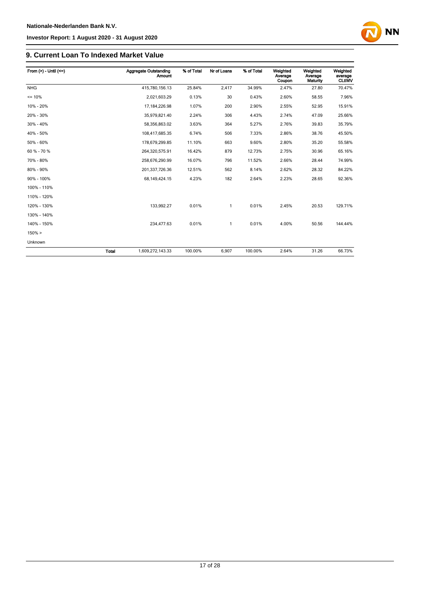## **9. Current Loan To Indexed Market Value**

| From $(>) -$ Until $(<=)$ |              | Aggregate Outstanding<br><b>Amount</b> | % of Total | Nr of Loans  | % of Total | Weighted<br>Average<br>Coupon | Weighted<br>Average<br>Maturity | Weighted<br>average<br><b>CLtIMV</b> |
|---------------------------|--------------|----------------------------------------|------------|--------------|------------|-------------------------------|---------------------------------|--------------------------------------|
| <b>NHG</b>                |              | 415,780,156.13                         | 25.84%     | 2,417        | 34.99%     | 2.47%                         | 27.80                           | 70.47%                               |
| $= 10%$                   |              | 2,021,603.29                           | 0.13%      | 30           | 0.43%      | 2.60%                         | 58.55                           | 7.96%                                |
| 10% - 20%                 |              | 17, 184, 226. 98                       | 1.07%      | 200          | 2.90%      | 2.55%                         | 52.95                           | 15.91%                               |
| 20% - 30%                 |              | 35,979,821.40                          | 2.24%      | 306          | 4.43%      | 2.74%                         | 47.09                           | 25.66%                               |
| 30% - 40%                 |              | 58,356,863.02                          | 3.63%      | 364          | 5.27%      | 2.76%                         | 39.83                           | 35.79%                               |
| 40% - 50%                 |              | 108,417,685.35                         | 6.74%      | 506          | 7.33%      | 2.86%                         | 38.76                           | 45.50%                               |
| 50% - 60%                 |              | 178,679,299.85                         | 11.10%     | 663          | 9.60%      | 2.80%                         | 35.20                           | 55.58%                               |
| 60 % - 70 %               |              | 264,320,575.91                         | 16.42%     | 879          | 12.73%     | 2.75%                         | 30.96                           | 65.16%                               |
| 70% - 80%                 |              | 258,676,290.99                         | 16.07%     | 796          | 11.52%     | 2.66%                         | 28.44                           | 74.99%                               |
| 80% - 90%                 |              | 201,337,726.36                         | 12.51%     | 562          | 8.14%      | 2.62%                         | 28.32                           | 84.22%                               |
| 90% - 100%                |              | 68, 149, 424. 15                       | 4.23%      | 182          | 2.64%      | 2.23%                         | 28.65                           | 92.36%                               |
| 100% - 110%               |              |                                        |            |              |            |                               |                                 |                                      |
| 110% - 120%               |              |                                        |            |              |            |                               |                                 |                                      |
| 120% - 130%               |              | 133.992.27                             | 0.01%      | $\mathbf{1}$ | 0.01%      | 2.45%                         | 20.53                           | 129.71%                              |
| 130% - 140%               |              |                                        |            |              |            |                               |                                 |                                      |
| 140% - 150%               |              | 234,477.63                             | 0.01%      | 1            | 0.01%      | 4.00%                         | 50.56                           | 144.44%                              |
| $150\% >$                 |              |                                        |            |              |            |                               |                                 |                                      |
| Unknown                   |              |                                        |            |              |            |                               |                                 |                                      |
|                           | <b>Total</b> | 1,609,272,143.33                       | 100.00%    | 6,907        | 100.00%    | 2.64%                         | 31.26                           | 66.73%                               |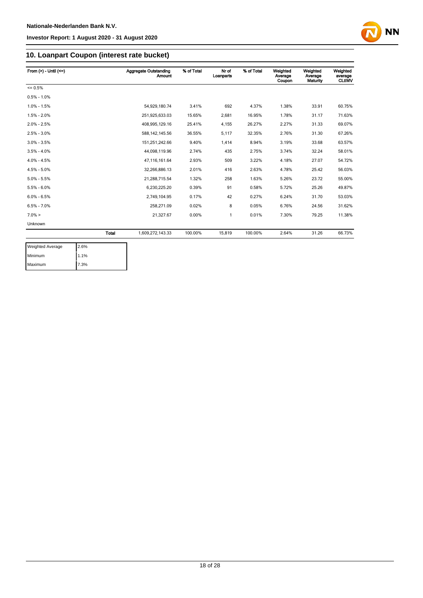

## **10. Loanpart Coupon (interest rate bucket)**

| From $(>)$ - Until $(<=)$ |              | Aggregate Outstanding<br><b>Amount</b> | % of Total | Nr of<br>Loanparts | % of Total | Weighted<br>Average<br>Coupon | Weighted<br>Average<br>Maturity | Weighted<br>average<br><b>CLtIMV</b> |
|---------------------------|--------------|----------------------------------------|------------|--------------------|------------|-------------------------------|---------------------------------|--------------------------------------|
| $= 0.5%$                  |              |                                        |            |                    |            |                               |                                 |                                      |
| $0.5\% - 1.0\%$           |              |                                        |            |                    |            |                               |                                 |                                      |
| $1.0\% - 1.5\%$           |              | 54.929.180.74                          | 3.41%      | 692                | 4.37%      | 1.38%                         | 33.91                           | 60.75%                               |
| $1.5\% - 2.0\%$           |              | 251,925,633.03                         | 15.65%     | 2,681              | 16.95%     | 1.78%                         | 31.17                           | 71.63%                               |
| $2.0\% - 2.5\%$           |              | 408,995,129.16                         | 25.41%     | 4,155              | 26.27%     | 2.27%                         | 31.33                           | 69.07%                               |
| $2.5\% - 3.0\%$           |              | 588, 142, 145.56                       | 36.55%     | 5,117              | 32.35%     | 2.76%                         | 31.30                           | 67.26%                               |
| $3.0\% - 3.5\%$           |              | 151.251.242.66                         | 9.40%      | 1,414              | 8.94%      | 3.19%                         | 33.68                           | 63.57%                               |
| $3.5\% - 4.0\%$           |              | 44.098.119.96                          | 2.74%      | 435                | 2.75%      | 3.74%                         | 32.24                           | 58.01%                               |
| $4.0\% - 4.5\%$           |              | 47.116.161.64                          | 2.93%      | 509                | 3.22%      | 4.18%                         | 27.07                           | 54.72%                               |
| $4.5\% - 5.0\%$           |              | 32.266.886.13                          | 2.01%      | 416                | 2.63%      | 4.78%                         | 25.42                           | 56.03%                               |
| $5.0\% - 5.5\%$           |              | 21.288.715.54                          | 1.32%      | 258                | 1.63%      | 5.26%                         | 23.72                           | 55.00%                               |
| $5.5\% - 6.0\%$           |              | 6,230,225.20                           | 0.39%      | 91                 | 0.58%      | 5.72%                         | 25.26                           | 49.87%                               |
| $6.0\% - 6.5\%$           |              | 2,749,104.95                           | 0.17%      | 42                 | 0.27%      | 6.24%                         | 31.70                           | 53.03%                               |
| $6.5\% - 7.0\%$           |              | 258,271.09                             | 0.02%      | 8                  | 0.05%      | 6.76%                         | 24.56                           | 31.62%                               |
| $7.0\% >$                 |              | 21.327.67                              | 0.00%      | $\mathbf{1}$       | 0.01%      | 7.30%                         | 79.25                           | 11.38%                               |
| Unknown                   |              |                                        |            |                    |            |                               |                                 |                                      |
|                           | <b>Total</b> | 1,609,272,143.33                       | 100.00%    | 15,819             | 100.00%    | 2.64%                         | 31.26                           | 66.73%                               |

| <b>Weighted Average</b> | 2.6% |
|-------------------------|------|
| Minimum                 | 1.1% |
| Maximum                 | 7.3% |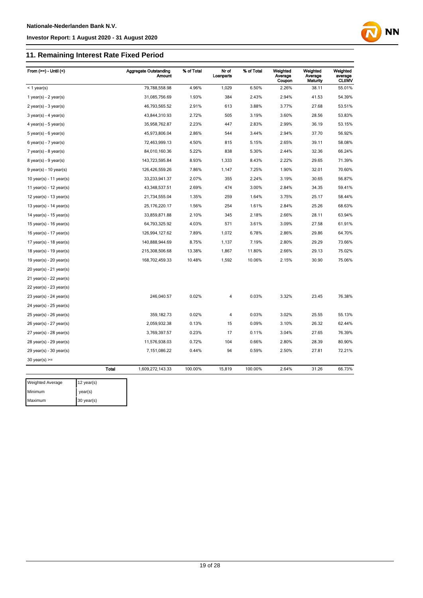## **11. Remaining Interest Rate Fixed Period**

| 79,788,558.98<br>4.96%<br>6.50%<br>38.11<br>55.01%<br>1,029<br>2.26%<br>$<$ 1 year(s)<br>31,085,756.69<br>1.93%<br>384<br>2.43%<br>2.94%<br>41.53<br>54.39%<br>1 year(s) - $2$ year(s)<br>46,793,565.52<br>2.91%<br>613<br>3.88%<br>3.77%<br>27.68<br>53.51%<br>$2$ year(s) - 3 year(s)<br>43,844,310.93<br>2.72%<br>505<br>3.19%<br>3.60%<br>28.56<br>53.83%<br>$3$ year(s) - 4 year(s)<br>2.23%<br>35,958,762.87<br>447<br>2.83%<br>2.99%<br>36.19<br>53.15%<br>$4$ year(s) - 5 year(s)<br>45,973,806.04<br>2.86%<br>544<br>3.44%<br>2.94%<br>37.70<br>56.92%<br>$5$ year(s) - $6$ year(s)<br>72,463,999.13<br>4.50%<br>815<br>5.15%<br>2.65%<br>39.11<br>58.08%<br>$6$ year(s) - 7 year(s)<br>32.36<br>66.24%<br>84,010,160.36<br>5.22%<br>838<br>5.30%<br>2.44%<br>$7$ year(s) - 8 year(s)<br>143,723,595.84<br>8.93%<br>1,333<br>8.43%<br>2.22%<br>29.65<br>71.39%<br>$8$ year(s) - $9$ year(s)<br>126,426,559.26<br>7.86%<br>1,147<br>7.25%<br>1.90%<br>32.01<br>70.60%<br>$9$ year(s) - 10 year(s)<br>56.87%<br>33,233,941.37<br>2.07%<br>355<br>2.24%<br>3.19%<br>30.65<br>10 year(s) - 11 year(s)<br>2.69%<br>3.00%<br>43,348,537.51<br>474<br>2.84%<br>34.35<br>59.41%<br>11 year(s) - $12$ year(s)<br>21,734,555.04<br>1.35%<br>259<br>1.64%<br>3.75%<br>25.17<br>58.44%<br>12 year(s) - 13 year(s)<br>25, 176, 220. 17<br>1.56%<br>254<br>1.61%<br>2.84%<br>25.26<br>68.63%<br>13 year(s) - $14$ year(s)<br>33,859,871.88<br>2.10%<br>345<br>2.18%<br>2.66%<br>28.11<br>63.94%<br>14 year(s) - $15$ year(s)<br>64,793,325.92<br>4.03%<br>571<br>3.61%<br>3.09%<br>27.58<br>61.91%<br>15 year(s) - 16 year(s)<br>126,994,127.62<br>7.89%<br>1,072<br>6.78%<br>29.86<br>64.70%<br>16 year(s) - 17 year(s)<br>2.86%<br>140,888,944.69<br>8.75%<br>7.19%<br>2.80%<br>29.29<br>73.66%<br>17 year(s) - 18 year(s)<br>1,137<br>215,308,506.68<br>13.38%<br>1,867<br>11.80%<br>2.66%<br>29.13<br>75.02%<br>18 year(s) - 19 year(s)<br>10.06%<br>30.90<br>75.06%<br>168,702,459.33<br>10.48%<br>1,592<br>2.15%<br>19 year(s) - 20 year(s)<br>20 year(s) - 21 year(s)<br>21 year(s) - 22 year(s)<br>22 year(s) - 23 year(s)<br>246,040.57<br>0.02%<br>0.03%<br>3.32%<br>23.45<br>76.38%<br>4<br>23 year(s) - 24 year(s)<br>24 year(s) - 25 year(s)<br>3.02%<br>25 year(s) - 26 year(s)<br>359,182.73<br>0.02%<br>4<br>0.03%<br>25.55<br>55.13%<br>2,059,932.38<br>0.09%<br>3.10%<br>26.32<br>62.44%<br>0.13%<br>15<br>26 year(s) - 27 year(s)<br>3,769,397.57<br>0.23%<br>17<br>27.65<br>76.39%<br>27 year(s) - 28 year(s)<br>0.11%<br>3.04%<br>104<br>0.66%<br>28.39<br>80.90%<br>28 year(s) - 29 year(s)<br>11,576,938.03<br>0.72%<br>2.80%<br>0.44%<br>94<br>0.59%<br>2.50%<br>72.21%<br>29 year(s) - 30 year(s)<br>7,151,086.22<br>27.81<br>$30$ year(s) >=<br><b>Total</b><br>100.00%<br>31.26<br>1,609,272,143.33<br>15,819<br>100.00%<br>2.64%<br>66.73%<br>Weighted Average<br>12 year(s)<br>Minimum<br>year(s) | From $(>=)$ - Until $($ | <b>Aggregate Outstanding</b><br>Amount | % of Total | Nr of<br>Loanparts | % of Total | Weighted<br>Average<br>Coupon | Weighted<br>Average<br><b>Maturity</b> | Weighted<br>average<br><b>CLtIMV</b> |
|---------------------------------------------------------------------------------------------------------------------------------------------------------------------------------------------------------------------------------------------------------------------------------------------------------------------------------------------------------------------------------------------------------------------------------------------------------------------------------------------------------------------------------------------------------------------------------------------------------------------------------------------------------------------------------------------------------------------------------------------------------------------------------------------------------------------------------------------------------------------------------------------------------------------------------------------------------------------------------------------------------------------------------------------------------------------------------------------------------------------------------------------------------------------------------------------------------------------------------------------------------------------------------------------------------------------------------------------------------------------------------------------------------------------------------------------------------------------------------------------------------------------------------------------------------------------------------------------------------------------------------------------------------------------------------------------------------------------------------------------------------------------------------------------------------------------------------------------------------------------------------------------------------------------------------------------------------------------------------------------------------------------------------------------------------------------------------------------------------------------------------------------------------------------------------------------------------------------------------------------------------------------------------------------------------------------------------------------------------------------------------------------------------------------------------------------------------------------------------------------------------------------------------------------------------------------------------------------------------------------------------------------------------------------------------------------------------------------------------------------------------------------------------------------------------------------------------------------------------------------------------------------------------------------------|-------------------------|----------------------------------------|------------|--------------------|------------|-------------------------------|----------------------------------------|--------------------------------------|
|                                                                                                                                                                                                                                                                                                                                                                                                                                                                                                                                                                                                                                                                                                                                                                                                                                                                                                                                                                                                                                                                                                                                                                                                                                                                                                                                                                                                                                                                                                                                                                                                                                                                                                                                                                                                                                                                                                                                                                                                                                                                                                                                                                                                                                                                                                                                                                                                                                                                                                                                                                                                                                                                                                                                                                                                                                                                                                                           |                         |                                        |            |                    |            |                               |                                        |                                      |
|                                                                                                                                                                                                                                                                                                                                                                                                                                                                                                                                                                                                                                                                                                                                                                                                                                                                                                                                                                                                                                                                                                                                                                                                                                                                                                                                                                                                                                                                                                                                                                                                                                                                                                                                                                                                                                                                                                                                                                                                                                                                                                                                                                                                                                                                                                                                                                                                                                                                                                                                                                                                                                                                                                                                                                                                                                                                                                                           |                         |                                        |            |                    |            |                               |                                        |                                      |
|                                                                                                                                                                                                                                                                                                                                                                                                                                                                                                                                                                                                                                                                                                                                                                                                                                                                                                                                                                                                                                                                                                                                                                                                                                                                                                                                                                                                                                                                                                                                                                                                                                                                                                                                                                                                                                                                                                                                                                                                                                                                                                                                                                                                                                                                                                                                                                                                                                                                                                                                                                                                                                                                                                                                                                                                                                                                                                                           |                         |                                        |            |                    |            |                               |                                        |                                      |
|                                                                                                                                                                                                                                                                                                                                                                                                                                                                                                                                                                                                                                                                                                                                                                                                                                                                                                                                                                                                                                                                                                                                                                                                                                                                                                                                                                                                                                                                                                                                                                                                                                                                                                                                                                                                                                                                                                                                                                                                                                                                                                                                                                                                                                                                                                                                                                                                                                                                                                                                                                                                                                                                                                                                                                                                                                                                                                                           |                         |                                        |            |                    |            |                               |                                        |                                      |
|                                                                                                                                                                                                                                                                                                                                                                                                                                                                                                                                                                                                                                                                                                                                                                                                                                                                                                                                                                                                                                                                                                                                                                                                                                                                                                                                                                                                                                                                                                                                                                                                                                                                                                                                                                                                                                                                                                                                                                                                                                                                                                                                                                                                                                                                                                                                                                                                                                                                                                                                                                                                                                                                                                                                                                                                                                                                                                                           |                         |                                        |            |                    |            |                               |                                        |                                      |
|                                                                                                                                                                                                                                                                                                                                                                                                                                                                                                                                                                                                                                                                                                                                                                                                                                                                                                                                                                                                                                                                                                                                                                                                                                                                                                                                                                                                                                                                                                                                                                                                                                                                                                                                                                                                                                                                                                                                                                                                                                                                                                                                                                                                                                                                                                                                                                                                                                                                                                                                                                                                                                                                                                                                                                                                                                                                                                                           |                         |                                        |            |                    |            |                               |                                        |                                      |
|                                                                                                                                                                                                                                                                                                                                                                                                                                                                                                                                                                                                                                                                                                                                                                                                                                                                                                                                                                                                                                                                                                                                                                                                                                                                                                                                                                                                                                                                                                                                                                                                                                                                                                                                                                                                                                                                                                                                                                                                                                                                                                                                                                                                                                                                                                                                                                                                                                                                                                                                                                                                                                                                                                                                                                                                                                                                                                                           |                         |                                        |            |                    |            |                               |                                        |                                      |
|                                                                                                                                                                                                                                                                                                                                                                                                                                                                                                                                                                                                                                                                                                                                                                                                                                                                                                                                                                                                                                                                                                                                                                                                                                                                                                                                                                                                                                                                                                                                                                                                                                                                                                                                                                                                                                                                                                                                                                                                                                                                                                                                                                                                                                                                                                                                                                                                                                                                                                                                                                                                                                                                                                                                                                                                                                                                                                                           |                         |                                        |            |                    |            |                               |                                        |                                      |
|                                                                                                                                                                                                                                                                                                                                                                                                                                                                                                                                                                                                                                                                                                                                                                                                                                                                                                                                                                                                                                                                                                                                                                                                                                                                                                                                                                                                                                                                                                                                                                                                                                                                                                                                                                                                                                                                                                                                                                                                                                                                                                                                                                                                                                                                                                                                                                                                                                                                                                                                                                                                                                                                                                                                                                                                                                                                                                                           |                         |                                        |            |                    |            |                               |                                        |                                      |
|                                                                                                                                                                                                                                                                                                                                                                                                                                                                                                                                                                                                                                                                                                                                                                                                                                                                                                                                                                                                                                                                                                                                                                                                                                                                                                                                                                                                                                                                                                                                                                                                                                                                                                                                                                                                                                                                                                                                                                                                                                                                                                                                                                                                                                                                                                                                                                                                                                                                                                                                                                                                                                                                                                                                                                                                                                                                                                                           |                         |                                        |            |                    |            |                               |                                        |                                      |
|                                                                                                                                                                                                                                                                                                                                                                                                                                                                                                                                                                                                                                                                                                                                                                                                                                                                                                                                                                                                                                                                                                                                                                                                                                                                                                                                                                                                                                                                                                                                                                                                                                                                                                                                                                                                                                                                                                                                                                                                                                                                                                                                                                                                                                                                                                                                                                                                                                                                                                                                                                                                                                                                                                                                                                                                                                                                                                                           |                         |                                        |            |                    |            |                               |                                        |                                      |
|                                                                                                                                                                                                                                                                                                                                                                                                                                                                                                                                                                                                                                                                                                                                                                                                                                                                                                                                                                                                                                                                                                                                                                                                                                                                                                                                                                                                                                                                                                                                                                                                                                                                                                                                                                                                                                                                                                                                                                                                                                                                                                                                                                                                                                                                                                                                                                                                                                                                                                                                                                                                                                                                                                                                                                                                                                                                                                                           |                         |                                        |            |                    |            |                               |                                        |                                      |
|                                                                                                                                                                                                                                                                                                                                                                                                                                                                                                                                                                                                                                                                                                                                                                                                                                                                                                                                                                                                                                                                                                                                                                                                                                                                                                                                                                                                                                                                                                                                                                                                                                                                                                                                                                                                                                                                                                                                                                                                                                                                                                                                                                                                                                                                                                                                                                                                                                                                                                                                                                                                                                                                                                                                                                                                                                                                                                                           |                         |                                        |            |                    |            |                               |                                        |                                      |
|                                                                                                                                                                                                                                                                                                                                                                                                                                                                                                                                                                                                                                                                                                                                                                                                                                                                                                                                                                                                                                                                                                                                                                                                                                                                                                                                                                                                                                                                                                                                                                                                                                                                                                                                                                                                                                                                                                                                                                                                                                                                                                                                                                                                                                                                                                                                                                                                                                                                                                                                                                                                                                                                                                                                                                                                                                                                                                                           |                         |                                        |            |                    |            |                               |                                        |                                      |
|                                                                                                                                                                                                                                                                                                                                                                                                                                                                                                                                                                                                                                                                                                                                                                                                                                                                                                                                                                                                                                                                                                                                                                                                                                                                                                                                                                                                                                                                                                                                                                                                                                                                                                                                                                                                                                                                                                                                                                                                                                                                                                                                                                                                                                                                                                                                                                                                                                                                                                                                                                                                                                                                                                                                                                                                                                                                                                                           |                         |                                        |            |                    |            |                               |                                        |                                      |
|                                                                                                                                                                                                                                                                                                                                                                                                                                                                                                                                                                                                                                                                                                                                                                                                                                                                                                                                                                                                                                                                                                                                                                                                                                                                                                                                                                                                                                                                                                                                                                                                                                                                                                                                                                                                                                                                                                                                                                                                                                                                                                                                                                                                                                                                                                                                                                                                                                                                                                                                                                                                                                                                                                                                                                                                                                                                                                                           |                         |                                        |            |                    |            |                               |                                        |                                      |
|                                                                                                                                                                                                                                                                                                                                                                                                                                                                                                                                                                                                                                                                                                                                                                                                                                                                                                                                                                                                                                                                                                                                                                                                                                                                                                                                                                                                                                                                                                                                                                                                                                                                                                                                                                                                                                                                                                                                                                                                                                                                                                                                                                                                                                                                                                                                                                                                                                                                                                                                                                                                                                                                                                                                                                                                                                                                                                                           |                         |                                        |            |                    |            |                               |                                        |                                      |
|                                                                                                                                                                                                                                                                                                                                                                                                                                                                                                                                                                                                                                                                                                                                                                                                                                                                                                                                                                                                                                                                                                                                                                                                                                                                                                                                                                                                                                                                                                                                                                                                                                                                                                                                                                                                                                                                                                                                                                                                                                                                                                                                                                                                                                                                                                                                                                                                                                                                                                                                                                                                                                                                                                                                                                                                                                                                                                                           |                         |                                        |            |                    |            |                               |                                        |                                      |
|                                                                                                                                                                                                                                                                                                                                                                                                                                                                                                                                                                                                                                                                                                                                                                                                                                                                                                                                                                                                                                                                                                                                                                                                                                                                                                                                                                                                                                                                                                                                                                                                                                                                                                                                                                                                                                                                                                                                                                                                                                                                                                                                                                                                                                                                                                                                                                                                                                                                                                                                                                                                                                                                                                                                                                                                                                                                                                                           |                         |                                        |            |                    |            |                               |                                        |                                      |
|                                                                                                                                                                                                                                                                                                                                                                                                                                                                                                                                                                                                                                                                                                                                                                                                                                                                                                                                                                                                                                                                                                                                                                                                                                                                                                                                                                                                                                                                                                                                                                                                                                                                                                                                                                                                                                                                                                                                                                                                                                                                                                                                                                                                                                                                                                                                                                                                                                                                                                                                                                                                                                                                                                                                                                                                                                                                                                                           |                         |                                        |            |                    |            |                               |                                        |                                      |
|                                                                                                                                                                                                                                                                                                                                                                                                                                                                                                                                                                                                                                                                                                                                                                                                                                                                                                                                                                                                                                                                                                                                                                                                                                                                                                                                                                                                                                                                                                                                                                                                                                                                                                                                                                                                                                                                                                                                                                                                                                                                                                                                                                                                                                                                                                                                                                                                                                                                                                                                                                                                                                                                                                                                                                                                                                                                                                                           |                         |                                        |            |                    |            |                               |                                        |                                      |
|                                                                                                                                                                                                                                                                                                                                                                                                                                                                                                                                                                                                                                                                                                                                                                                                                                                                                                                                                                                                                                                                                                                                                                                                                                                                                                                                                                                                                                                                                                                                                                                                                                                                                                                                                                                                                                                                                                                                                                                                                                                                                                                                                                                                                                                                                                                                                                                                                                                                                                                                                                                                                                                                                                                                                                                                                                                                                                                           |                         |                                        |            |                    |            |                               |                                        |                                      |
|                                                                                                                                                                                                                                                                                                                                                                                                                                                                                                                                                                                                                                                                                                                                                                                                                                                                                                                                                                                                                                                                                                                                                                                                                                                                                                                                                                                                                                                                                                                                                                                                                                                                                                                                                                                                                                                                                                                                                                                                                                                                                                                                                                                                                                                                                                                                                                                                                                                                                                                                                                                                                                                                                                                                                                                                                                                                                                                           |                         |                                        |            |                    |            |                               |                                        |                                      |
|                                                                                                                                                                                                                                                                                                                                                                                                                                                                                                                                                                                                                                                                                                                                                                                                                                                                                                                                                                                                                                                                                                                                                                                                                                                                                                                                                                                                                                                                                                                                                                                                                                                                                                                                                                                                                                                                                                                                                                                                                                                                                                                                                                                                                                                                                                                                                                                                                                                                                                                                                                                                                                                                                                                                                                                                                                                                                                                           |                         |                                        |            |                    |            |                               |                                        |                                      |
|                                                                                                                                                                                                                                                                                                                                                                                                                                                                                                                                                                                                                                                                                                                                                                                                                                                                                                                                                                                                                                                                                                                                                                                                                                                                                                                                                                                                                                                                                                                                                                                                                                                                                                                                                                                                                                                                                                                                                                                                                                                                                                                                                                                                                                                                                                                                                                                                                                                                                                                                                                                                                                                                                                                                                                                                                                                                                                                           |                         |                                        |            |                    |            |                               |                                        |                                      |
|                                                                                                                                                                                                                                                                                                                                                                                                                                                                                                                                                                                                                                                                                                                                                                                                                                                                                                                                                                                                                                                                                                                                                                                                                                                                                                                                                                                                                                                                                                                                                                                                                                                                                                                                                                                                                                                                                                                                                                                                                                                                                                                                                                                                                                                                                                                                                                                                                                                                                                                                                                                                                                                                                                                                                                                                                                                                                                                           |                         |                                        |            |                    |            |                               |                                        |                                      |
|                                                                                                                                                                                                                                                                                                                                                                                                                                                                                                                                                                                                                                                                                                                                                                                                                                                                                                                                                                                                                                                                                                                                                                                                                                                                                                                                                                                                                                                                                                                                                                                                                                                                                                                                                                                                                                                                                                                                                                                                                                                                                                                                                                                                                                                                                                                                                                                                                                                                                                                                                                                                                                                                                                                                                                                                                                                                                                                           |                         |                                        |            |                    |            |                               |                                        |                                      |
|                                                                                                                                                                                                                                                                                                                                                                                                                                                                                                                                                                                                                                                                                                                                                                                                                                                                                                                                                                                                                                                                                                                                                                                                                                                                                                                                                                                                                                                                                                                                                                                                                                                                                                                                                                                                                                                                                                                                                                                                                                                                                                                                                                                                                                                                                                                                                                                                                                                                                                                                                                                                                                                                                                                                                                                                                                                                                                                           |                         |                                        |            |                    |            |                               |                                        |                                      |
|                                                                                                                                                                                                                                                                                                                                                                                                                                                                                                                                                                                                                                                                                                                                                                                                                                                                                                                                                                                                                                                                                                                                                                                                                                                                                                                                                                                                                                                                                                                                                                                                                                                                                                                                                                                                                                                                                                                                                                                                                                                                                                                                                                                                                                                                                                                                                                                                                                                                                                                                                                                                                                                                                                                                                                                                                                                                                                                           |                         |                                        |            |                    |            |                               |                                        |                                      |
|                                                                                                                                                                                                                                                                                                                                                                                                                                                                                                                                                                                                                                                                                                                                                                                                                                                                                                                                                                                                                                                                                                                                                                                                                                                                                                                                                                                                                                                                                                                                                                                                                                                                                                                                                                                                                                                                                                                                                                                                                                                                                                                                                                                                                                                                                                                                                                                                                                                                                                                                                                                                                                                                                                                                                                                                                                                                                                                           |                         |                                        |            |                    |            |                               |                                        |                                      |
|                                                                                                                                                                                                                                                                                                                                                                                                                                                                                                                                                                                                                                                                                                                                                                                                                                                                                                                                                                                                                                                                                                                                                                                                                                                                                                                                                                                                                                                                                                                                                                                                                                                                                                                                                                                                                                                                                                                                                                                                                                                                                                                                                                                                                                                                                                                                                                                                                                                                                                                                                                                                                                                                                                                                                                                                                                                                                                                           |                         |                                        |            |                    |            |                               |                                        |                                      |
|                                                                                                                                                                                                                                                                                                                                                                                                                                                                                                                                                                                                                                                                                                                                                                                                                                                                                                                                                                                                                                                                                                                                                                                                                                                                                                                                                                                                                                                                                                                                                                                                                                                                                                                                                                                                                                                                                                                                                                                                                                                                                                                                                                                                                                                                                                                                                                                                                                                                                                                                                                                                                                                                                                                                                                                                                                                                                                                           |                         |                                        |            |                    |            |                               |                                        |                                      |
|                                                                                                                                                                                                                                                                                                                                                                                                                                                                                                                                                                                                                                                                                                                                                                                                                                                                                                                                                                                                                                                                                                                                                                                                                                                                                                                                                                                                                                                                                                                                                                                                                                                                                                                                                                                                                                                                                                                                                                                                                                                                                                                                                                                                                                                                                                                                                                                                                                                                                                                                                                                                                                                                                                                                                                                                                                                                                                                           |                         |                                        |            |                    |            |                               |                                        |                                      |
|                                                                                                                                                                                                                                                                                                                                                                                                                                                                                                                                                                                                                                                                                                                                                                                                                                                                                                                                                                                                                                                                                                                                                                                                                                                                                                                                                                                                                                                                                                                                                                                                                                                                                                                                                                                                                                                                                                                                                                                                                                                                                                                                                                                                                                                                                                                                                                                                                                                                                                                                                                                                                                                                                                                                                                                                                                                                                                                           |                         |                                        |            |                    |            |                               |                                        |                                      |

**NN** 

Maximum 30 year(s)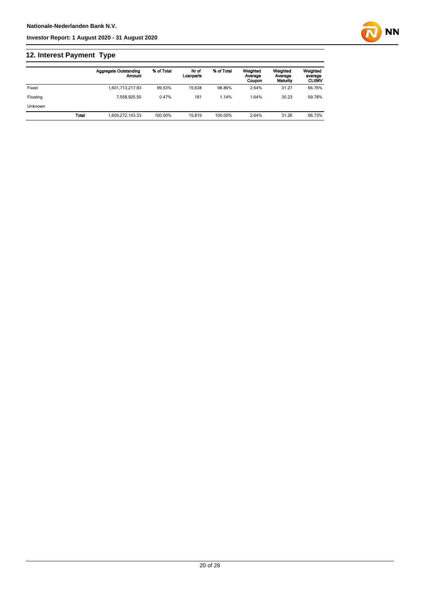## **12. Interest Payment Type**

|                |       | <b>Aggregate Outstanding</b><br>Amount | % of Total | Nr of<br>Loanparts | % of Total | Weighted<br>Average<br>Coupon | Weighted<br>Average<br>Maturity | Weighted<br>average<br><b>CLtIMV</b> |
|----------------|-------|----------------------------------------|------------|--------------------|------------|-------------------------------|---------------------------------|--------------------------------------|
| Fixed          |       | 1,601,713,217.83                       | 99.53%     | 15.638             | 98.86%     | 2.64%                         | 31.27                           | 66.76%                               |
| Floating       |       | 7.558.925.50                           | 0.47%      | 181                | 1.14%      | .64%                          | 30.23                           | 59.78%                               |
| <b>Unknown</b> |       |                                        |            |                    |            |                               |                                 |                                      |
|                | Total | 1,609,272,143.33                       | 100.00%    | 15.819             | 100.00%    | 2.64%                         | 31.26                           | 66.73%                               |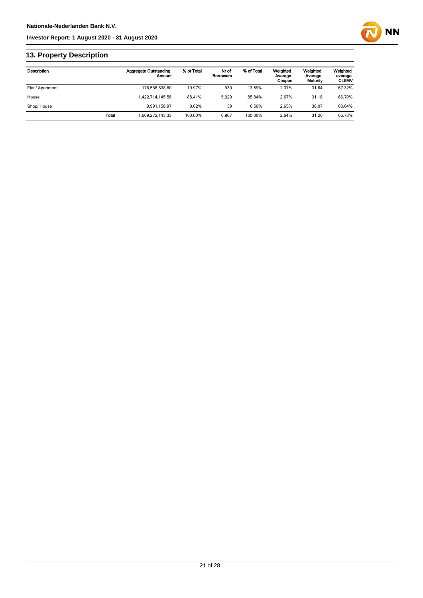

## **13. Property Description**

| Description      |       | <b>Aggregate Outstanding</b><br>Amount | % of Total | Nr of<br><b>Borrowers</b> | % of Total | Weighted<br>Average<br>Coupon | Weighted<br>Average<br>Maturity | Weighted<br>average<br><b>CLUMV</b> |
|------------------|-------|----------------------------------------|------------|---------------------------|------------|-------------------------------|---------------------------------|-------------------------------------|
| Flat / Apartment |       | 176.566.838.80                         | 10.97%     | 939                       | 13.59%     | 2.37%                         | 31.64                           | 67.32%                              |
| House            |       | 1,422,714,145.56                       | 88.41%     | 5.929                     | 85.84%     | 2.67%                         | 31.18                           | 66.70%                              |
| Shop/House       |       | 9.991.158.97                           | 0.62%      | 39                        | 0.56%      | 2.65%                         | 36.07                           | 60.64%                              |
|                  | Total | 609,272,143.33                         | 100.00%    | 6.907                     | 100.00%    | 2.64%                         | 31.26                           | 66.73%                              |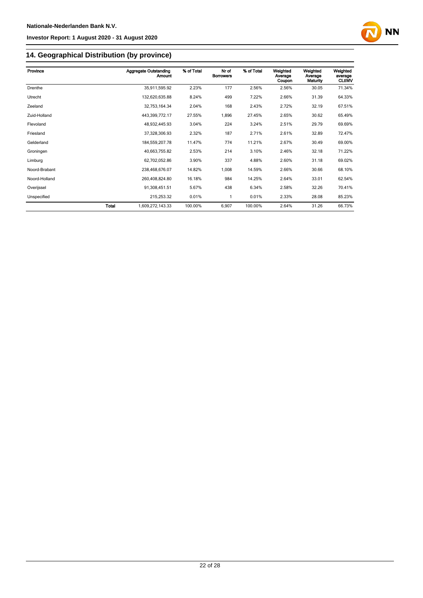

## **14. Geographical Distribution (by province)**

| Province      |       | <b>Aggregate Outstanding</b><br>Amount | % of Total | Nr of<br><b>Borrowers</b> | % of Total | Weighted<br>Average<br>Coupon | Weighted<br>Average<br>Maturity | Weighted<br>average<br><b>CLtIMV</b> |
|---------------|-------|----------------------------------------|------------|---------------------------|------------|-------------------------------|---------------------------------|--------------------------------------|
| Drenthe       |       | 35,911,595.92                          | 2.23%      | 177                       | 2.56%      | 2.56%                         | 30.05                           | 71.34%                               |
| Utrecht       |       | 132,620,635.88                         | 8.24%      | 499                       | 7.22%      | 2.66%                         | 31.39                           | 64.33%                               |
| Zeeland       |       | 32,753,164.34                          | 2.04%      | 168                       | 2.43%      | 2.72%                         | 32.19                           | 67.51%                               |
| Zuid-Holland  |       | 443,399,772.17                         | 27.55%     | 1,896                     | 27.45%     | 2.65%                         | 30.62                           | 65.49%                               |
| Flevoland     |       | 48,932,445.93                          | 3.04%      | 224                       | 3.24%      | 2.51%                         | 29.79                           | 69.69%                               |
| Friesland     |       | 37,328,306.93                          | 2.32%      | 187                       | 2.71%      | 2.61%                         | 32.89                           | 72.47%                               |
| Gelderland    |       | 184,559,207.78                         | 11.47%     | 774                       | 11.21%     | 2.67%                         | 30.49                           | 69.00%                               |
| Groningen     |       | 40,663,755.82                          | 2.53%      | 214                       | 3.10%      | 2.46%                         | 32.18                           | 71.22%                               |
| Limburg       |       | 62,702,052.86                          | 3.90%      | 337                       | 4.88%      | 2.60%                         | 31.18                           | 69.02%                               |
| Noord-Brabant |       | 238,468,676.07                         | 14.82%     | 1,008                     | 14.59%     | 2.66%                         | 30.66                           | 68.10%                               |
| Noord-Holland |       | 260,408,824.80                         | 16.18%     | 984                       | 14.25%     | 2.64%                         | 33.01                           | 62.54%                               |
| Overijssel    |       | 91,308,451.51                          | 5.67%      | 438                       | 6.34%      | 2.58%                         | 32.26                           | 70.41%                               |
| Unspecified   |       | 215,253.32                             | 0.01%      | 1                         | 0.01%      | 2.33%                         | 28.08                           | 85.23%                               |
|               | Total | 1,609,272,143.33                       | 100.00%    | 6,907                     | 100.00%    | 2.64%                         | 31.26                           | 66.73%                               |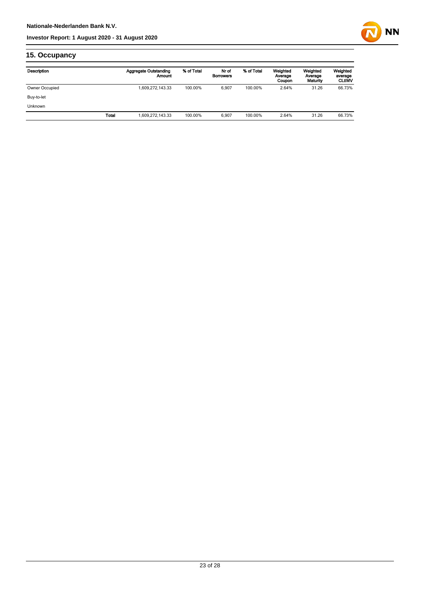

## **15. Occupancy**

| Description    |       | <b>Aggregate Outstanding</b><br>Amount | % of Total | Nr of<br><b>Borrowers</b> | % of Total | Weighted<br>Average<br>Coupon | Weighted<br>Average<br>Maturity | Weighted<br>average<br><b>CLtIMV</b> |
|----------------|-------|----------------------------------------|------------|---------------------------|------------|-------------------------------|---------------------------------|--------------------------------------|
| Owner Occupied |       | 1,609,272,143.33                       | 100.00%    | 6,907                     | 100.00%    | 2.64%                         | 31.26                           | 66.73%                               |
| Buy-to-let     |       |                                        |            |                           |            |                               |                                 |                                      |
| <b>Unknown</b> |       |                                        |            |                           |            |                               |                                 |                                      |
|                | Total | 1,609,272,143.33                       | 100.00%    | 6.907                     | 100.00%    | 2.64%                         | 31.26                           | 66.73%                               |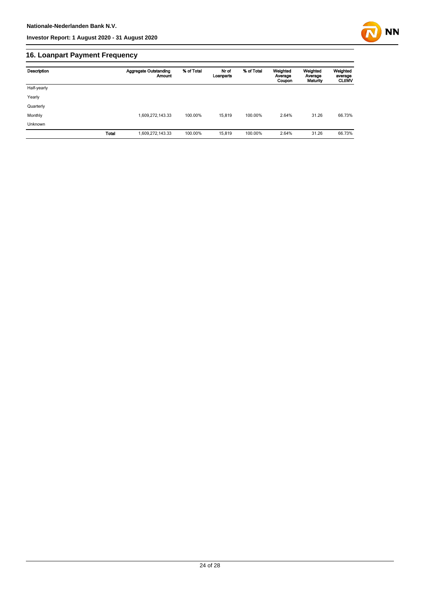

## **16. Loanpart Payment Frequency**

| Description | <b>Aggregate Outstanding</b><br>Amount | % of Total | Nr of<br>Loanparts | % of Total | Weighted<br>Average<br>Coupon | Weighted<br>Average<br>Maturity | Weighted<br>average<br><b>CLUMV</b> |
|-------------|----------------------------------------|------------|--------------------|------------|-------------------------------|---------------------------------|-------------------------------------|
| Half-yearly |                                        |            |                    |            |                               |                                 |                                     |
| Yearly      |                                        |            |                    |            |                               |                                 |                                     |
| Quarterly   |                                        |            |                    |            |                               |                                 |                                     |
| Monthly     | 1,609,272,143.33                       | 100.00%    | 15.819             | 100.00%    | 2.64%                         | 31.26                           | 66.73%                              |
| Unknown     |                                        |            |                    |            |                               |                                 |                                     |
|             | <b>Total</b><br>1,609,272,143.33       | 100.00%    | 15,819             | 100.00%    | 2.64%                         | 31.26                           | 66.73%                              |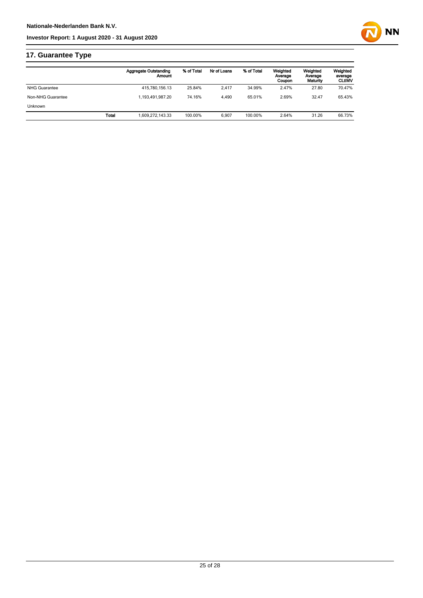

## **17. Guarantee Type**

|                      | <b>Aggregate Outstanding</b> | Amount | % of Total | Nr of Loans | % of Total | Weighted<br>Average<br>Coupon | Weighted<br>Average<br>Maturity | Weighted<br>average<br><b>CLtIMV</b> |
|----------------------|------------------------------|--------|------------|-------------|------------|-------------------------------|---------------------------------|--------------------------------------|
| <b>NHG Guarantee</b> | 415.780.156.13               |        | 25.84%     | 2.417       | 34.99%     | 2.47%                         | 27.80                           | 70.47%                               |
| Non-NHG Guarantee    | 1.193.491.987.20             |        | 74.16%     | 4.490       | 65.01%     | 2.69%                         | 32.47                           | 65.43%                               |
| <b>Unknown</b>       |                              |        |            |             |            |                               |                                 |                                      |
|                      | Total<br>1.609.272.143.33    |        | 100.00%    | 6.907       | 100.00%    | 2.64%                         | 31.26                           | 66.73%                               |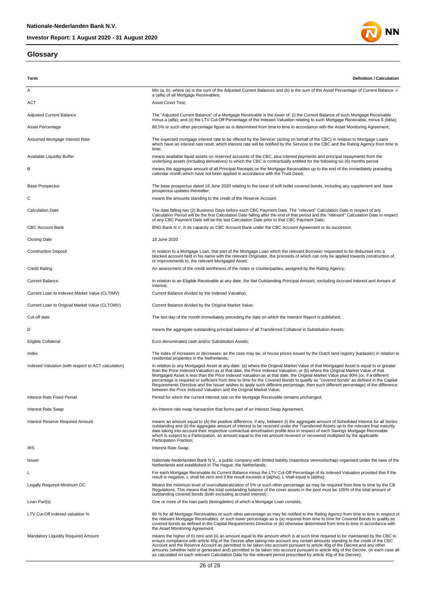## **Glossary**





| Term                                                | <b>Definition / Calculation</b>                                                                                                                                                                                                                                                                                                                                                                                                                                                                                                                                                                                                                                                                                                                             |
|-----------------------------------------------------|-------------------------------------------------------------------------------------------------------------------------------------------------------------------------------------------------------------------------------------------------------------------------------------------------------------------------------------------------------------------------------------------------------------------------------------------------------------------------------------------------------------------------------------------------------------------------------------------------------------------------------------------------------------------------------------------------------------------------------------------------------------|
| Α                                                   | Min (a, b), where (a) is the sum of the Adjusted Current Balances and (b) is the sum of the Asset Percentage of Current Balance -/-<br>a (alfa) of all Mortgage Receivables;                                                                                                                                                                                                                                                                                                                                                                                                                                                                                                                                                                                |
| ACT                                                 | Asset Cover Test;                                                                                                                                                                                                                                                                                                                                                                                                                                                                                                                                                                                                                                                                                                                                           |
| <b>Adjusted Current Balance</b>                     | The "Adjusted Current Balance" of a Mortgage Receivable is the lower of: (i) the Current Balance of such Mortgage Receivable<br>minus a (alfa); and (ii) the LTV Cut-Off Percentage of the Indexed Valuation relating to such Mortgage Receivable, minus ß (bèta);                                                                                                                                                                                                                                                                                                                                                                                                                                                                                          |
| Asset Percentage                                    | 88.5% or such other percentage figure as is determined from time to time in accordance with the Asset Monitoring Agreement;                                                                                                                                                                                                                                                                                                                                                                                                                                                                                                                                                                                                                                 |
| Assumed Mortgage Interest Rate                      | The expected mortgage interest rate to be offered by the Servicer (acting on behalf of the CBC) in relation to Mortgage Loans<br>which have an interest rate reset, which interest rate will be notified by the Servicer to the CBC and the Rating Agency from time to<br>time;                                                                                                                                                                                                                                                                                                                                                                                                                                                                             |
| Available Liquidity Buffer                          | means available liquid assets on reserved accounts of the CBC, plus interest payments and principal repayments from the<br>underlying assets (including derivatives) to which the CBC is contractually entitled for the following six (6) months period                                                                                                                                                                                                                                                                                                                                                                                                                                                                                                     |
| В                                                   | means the aggregate amount of all Principal Receipts on the Mortgage Receivables up to the end of the immediately preceding<br>calendar month which have not been applied in accordance with the Trust Deed;                                                                                                                                                                                                                                                                                                                                                                                                                                                                                                                                                |
| <b>Base Prospectus</b>                              | The base prospectus dated 18 June 2020 relating to the issue of soft bullet covered bonds, including any supplement and base<br>prospectus updates thereafter;                                                                                                                                                                                                                                                                                                                                                                                                                                                                                                                                                                                              |
| С                                                   | means the amounts standing to the credit of the Reserve Account;                                                                                                                                                                                                                                                                                                                                                                                                                                                                                                                                                                                                                                                                                            |
| <b>Calculation Date</b>                             | The date falling two (2) Business Days before each CBC Payment Date. The "relevant" Calculation Date in respect of any<br>Calculation Period will be the first Calculation Date falling after the end of that period and the "relevant" Calculation Date in respect<br>of any CBC Payment Date will be the last Calculation Date prior to that CBC Payment Date;                                                                                                                                                                                                                                                                                                                                                                                            |
| <b>CBC Account Bank</b>                             | BNG Bank N.V. in its capacity as CBC Account Bank under the CBC Account Agreement or its successor;                                                                                                                                                                                                                                                                                                                                                                                                                                                                                                                                                                                                                                                         |
| <b>Closing Date</b>                                 | 18 June 2020                                                                                                                                                                                                                                                                                                                                                                                                                                                                                                                                                                                                                                                                                                                                                |
| <b>Construction Deposit</b>                         | In relation to a Mortgage Loan, that part of the Mortgage Loan which the relevant Borrower requested to be disbursed into a<br>blocked account held in his name with the relevant Originator, the proceeds of which can only be applied towards construction of,<br>or improvements to, the relevant Mortgaged Asset;                                                                                                                                                                                                                                                                                                                                                                                                                                       |
| <b>Credit Rating</b>                                | An assessment of the credit worthiness of the notes or counterparties, assigned by the Rating Agency;                                                                                                                                                                                                                                                                                                                                                                                                                                                                                                                                                                                                                                                       |
| <b>Current Balance</b>                              | In relation to an Eligible Receivable at any date, the Net Outstanding Principal Amount, excluding Accrued Interest and Arrears of<br>Interest;                                                                                                                                                                                                                                                                                                                                                                                                                                                                                                                                                                                                             |
| Current Loan to Indexed Market Value (CLTIMV)       | Current Balance divided by the Indexed Valuation;                                                                                                                                                                                                                                                                                                                                                                                                                                                                                                                                                                                                                                                                                                           |
| Current Loan to Original Market Value (CLTOMV)      | Current Balance divided by the Original Market Value;                                                                                                                                                                                                                                                                                                                                                                                                                                                                                                                                                                                                                                                                                                       |
| Cut-off date                                        | The last day of the month immediately preceding the date on which the Investor Report is published;                                                                                                                                                                                                                                                                                                                                                                                                                                                                                                                                                                                                                                                         |
| D                                                   | means the aggregate outstanding principal balance of all Transferred Collateral in Substitution Assets;                                                                                                                                                                                                                                                                                                                                                                                                                                                                                                                                                                                                                                                     |
| Eligible Collateral                                 | Euro denominated cash and/or Substitution Assets;                                                                                                                                                                                                                                                                                                                                                                                                                                                                                                                                                                                                                                                                                                           |
| Index                                               | The index of increases or decreases, as the case may be, of house prices issued by the Dutch land registry (kadaster) in relation to<br>residential properties in the Netherlands;                                                                                                                                                                                                                                                                                                                                                                                                                                                                                                                                                                          |
| Indexed Valuation (with respect to ACT calculation) | In relation to any Mortgaged Asset at any date: (a) where the Original Market Value of that Mortgaged Asset is equal to or greater<br>than the Price Indexed Valuation as at that date, the Price Indexed Valuation; or (b) where the Original Market Value of that<br>Mortgaged Asset is less than the Price Indexed Valuation as at that date, the Original Market Value plus 90% (or, if a different<br>percentage is required or sufficient from time to time for the Covered Bonds to qualify as "covered bonds" as defined in the Capital<br>Requirements Directive and the Issuer wishes to apply such different percentage, then such different percentage) of the difference<br>between the Price Indexed Valuation and the Original Market Value; |
| Interest Rate Fixed Period                          | Period for which the current interest rate on the Mortgage Receivable remains unchanged;                                                                                                                                                                                                                                                                                                                                                                                                                                                                                                                                                                                                                                                                    |
| Interest Rate Swap                                  | An interest rate swap transaction that forms part of an Interest Swap Agreement.                                                                                                                                                                                                                                                                                                                                                                                                                                                                                                                                                                                                                                                                            |
| Interest Reserve Required Amount                    | means an amount equal to (A) the positive difference, if any, between (i) the aggregate amount of Scheduled Interest for all Series<br>outstanding and (ii) the aggregate amount of interest to be received under the Transferred Assets up to the relevant final maturity<br>date taking into account their respective contractual amortisation profile less in respect of each Savings Mortgage Receivable<br>which is subject to a Participation, an amount equal to the net amount received or recovered multiplied by the applicable<br>Participation Fraction;                                                                                                                                                                                        |
| <b>IRS</b>                                          | Interest Rate Swap;                                                                                                                                                                                                                                                                                                                                                                                                                                                                                                                                                                                                                                                                                                                                         |
| Issuer                                              | Nationale-Nederlanden Bank N.V., a public company with limited liability (naamloze vennootschap) organised under the laws of the<br>Netherlands and established in The Haque, the Netherlands;                                                                                                                                                                                                                                                                                                                                                                                                                                                                                                                                                              |
| L                                                   | For each Mortgage Receivable its Current Balance minus the LTV Cut-Off Percentage of its Indexed Valuation provided that if the<br>result is negative, L shall be zero and if the result exceeds $\alpha$ (alpha), L shall equal $\alpha$ (alpha);                                                                                                                                                                                                                                                                                                                                                                                                                                                                                                          |
| Legally Required Minimum OC                         | Means the minimum level of overcollateralization of 5% or such other percentage as may be required from time to time by the CB<br>Regulations. This means that the total outstanding balance of the cover assets in the pool must be 105% of the total amount of<br>outstanding covered bonds (both excluding accrued interest);                                                                                                                                                                                                                                                                                                                                                                                                                            |
| Loan Part(s)                                        | One or more of the loan parts (leningdelen) of which a Mortgage Loan consists;                                                                                                                                                                                                                                                                                                                                                                                                                                                                                                                                                                                                                                                                              |
| LTV Cut-Off indexed valuation %                     | 80 % for all Mortgage Receivables or such other percentage as may be notified to the Rating Agency from time to time in respect of<br>the relevant Mortgage Receivables, or such lower percentage as is (a) required from time to time for Covered Bonds to qualify as<br>covered bonds as defined in the Capital Requirements Directive or (b) otherwise determined from time to time in accordance with<br>the Asset Monitoring Agreement;                                                                                                                                                                                                                                                                                                                |
| Mandatory Liquidity Required Amount                 | means the higher of (i) zero and (ii) an amount equal to the amount which is at such time required to be maintained by the CBC to<br>ensure compliance with article 40g of the Decree after taking into account any certain amounts standing to the credit of the CBC<br>Account and the Reserve Account as permitted to be taken into account pursuant to article 40g of the Decree and any other<br>amounts (whether held or generated and) permitted to be taken into account pursuant to article 40g of the Decree, (in each case all<br>as calculated on each relevant Calculation Date for the relevant period prescribed by article 40g of the Decree);                                                                                              |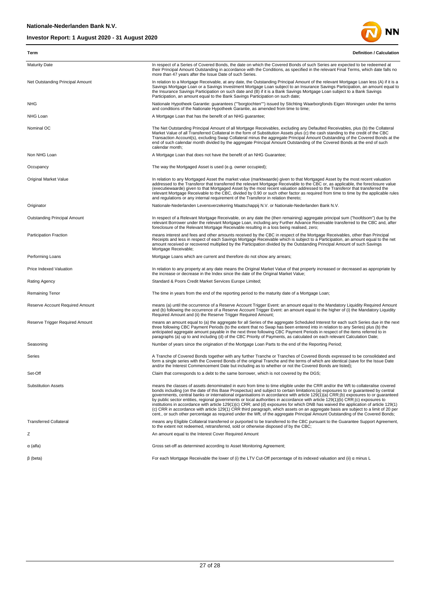

| Term                             | <b>Definition / Calculation</b>                                                                                                                                                                                                                                                                                                                                                                                                                                                                                                                                                                                                                                                                                                                                                                                                                                                                                                                              |
|----------------------------------|--------------------------------------------------------------------------------------------------------------------------------------------------------------------------------------------------------------------------------------------------------------------------------------------------------------------------------------------------------------------------------------------------------------------------------------------------------------------------------------------------------------------------------------------------------------------------------------------------------------------------------------------------------------------------------------------------------------------------------------------------------------------------------------------------------------------------------------------------------------------------------------------------------------------------------------------------------------|
| <b>Maturity Date</b>             | In respect of a Series of Covered Bonds, the date on which the Covered Bonds of such Series are expected to be redeemed at<br>their Principal Amount Outstanding in accordance with the Conditions, as specified in the relevant Final Terms, which date falls no<br>more than 47 years after the Issue Date of such Series.                                                                                                                                                                                                                                                                                                                                                                                                                                                                                                                                                                                                                                 |
| Net Outstanding Principal Amount | In relation to a Mortgage Receivable, at any date, the Outstanding Principal Amount of the relevant Mortgage Loan less (A) if it is a<br>Savings Mortgage Loan or a Savings Investment Mortgage Loan subject to an Insurance Savings Participation, an amount equal to<br>the Insurance Savings Participation on such date and (B) if it is a Bank Savings Mortgage Loan subject to a Bank Savings<br>Participation, an amount equal to the Bank Savings Participation on such date;                                                                                                                                                                                                                                                                                                                                                                                                                                                                         |
| <b>NHG</b>                       | Nationale Hypotheek Garantie: guarantees (""borgtochten"") issued by Stichting Waarborgfonds Eigen Woningen under the terms<br>and conditions of the Nationale Hypotheek Garantie, as amended from time to time;                                                                                                                                                                                                                                                                                                                                                                                                                                                                                                                                                                                                                                                                                                                                             |
| NHG Loan                         | A Mortgage Loan that has the benefit of an NHG guarantee;                                                                                                                                                                                                                                                                                                                                                                                                                                                                                                                                                                                                                                                                                                                                                                                                                                                                                                    |
| Nominal OC                       | The Net Outstanding Principal Amount of all Mortgage Receivables, excluding any Defaulted Receivables, plus (b) the Collateral<br>Market Value of all Transferred Collateral in the form of Substitution Assets plus (c) the cash standing to the credit of the CBC<br>Transaction Account(s), excluding Swap Collateral minus the aggregate Principal Amount Outstanding of the Covered Bonds at the<br>end of such calendar month divided by the aggregate Principal Amount Outstanding of the Covered Bonds at the end of such<br>calendar month;                                                                                                                                                                                                                                                                                                                                                                                                         |
| Non NHG Loan                     | A Mortgage Loan that does not have the benefit of an NHG Guarantee;                                                                                                                                                                                                                                                                                                                                                                                                                                                                                                                                                                                                                                                                                                                                                                                                                                                                                          |
| Occupancy                        | The way the Mortgaged Asset is used (e.g. owner occupied);                                                                                                                                                                                                                                                                                                                                                                                                                                                                                                                                                                                                                                                                                                                                                                                                                                                                                                   |
| Original Market Value            | In relation to any Mortgaged Asset the market value (marktwaarde) given to that Mortgaged Asset by the most recent valuation<br>addressed to the Transferor that transferred the relevant Mortgage Receivable to the CBC or, as applicable, the foreclosure value<br>(executiewaarde) given to that Mortgaged Asset by the most recent valuation addressed to the Transferor that transferred the<br>relevant Mortgage Receivable to the CBC, divided by 0.90 or such other factor as required from time to time by the applicable rules<br>and regulations or any internal requirement of the Transferor in relation thereto;                                                                                                                                                                                                                                                                                                                               |
| Originator                       | Nationale-Nederlanden Levensverzekering Maatschappij N.V. or Nationale-Nederlanden Bank N.V.                                                                                                                                                                                                                                                                                                                                                                                                                                                                                                                                                                                                                                                                                                                                                                                                                                                                 |
| Outstanding Principal Amount     | In respect of a Relevant Mortgage Receivable, on any date the (then remaining) aggregate principal sum ("hoofdsom") due by the<br>relevant Borrower under the relevant Mortgage Loan, including any Further Advance Receivable transferred to the CBC and, after<br>foreclosure of the Relevant Mortgage Receivable resulting in a loss being realised, zero;                                                                                                                                                                                                                                                                                                                                                                                                                                                                                                                                                                                                |
| <b>Participation Fraction</b>    | means interest and fees and other amounts received by the CBC in respect of the Mortgage Receivables, other than Principal<br>Receipts and less in respect of each Savings Mortgage Receivable which is subject to a Participation, an amount equal to the net<br>amount received or recovered multiplied by the Participation divided by the Outstanding Principal Amount of such Savings<br>Mortgage Receivable;                                                                                                                                                                                                                                                                                                                                                                                                                                                                                                                                           |
| Performing Loans                 | Mortgage Loans which are current and therefore do not show any arrears;                                                                                                                                                                                                                                                                                                                                                                                                                                                                                                                                                                                                                                                                                                                                                                                                                                                                                      |
| Price Indexed Valuation          | In relation to any property at any date means the Original Market Value of that property increased or decreased as appropriate by<br>the increase or decrease in the Index since the date of the Original Market Value;                                                                                                                                                                                                                                                                                                                                                                                                                                                                                                                                                                                                                                                                                                                                      |
| Rating Agency                    | Standard & Poors Credit Market Services Europe Limited;                                                                                                                                                                                                                                                                                                                                                                                                                                                                                                                                                                                                                                                                                                                                                                                                                                                                                                      |
| Remaining Tenor                  | The time in years from the end of the reporting period to the maturity date of a Mortgage Loan;                                                                                                                                                                                                                                                                                                                                                                                                                                                                                                                                                                                                                                                                                                                                                                                                                                                              |
| Reserve Account Required Amount  | means (a) until the occurrence of a Reserve Account Trigger Event: an amount equal to the Mandatory Liquidity Required Amount<br>and (b) following the occurrence of a Reserve Account Trigger Event: an amount equal to the higher of (i) the Mandatory Liquidity<br>Required Amount and (ii) the Reserve Trigger Required Amount;                                                                                                                                                                                                                                                                                                                                                                                                                                                                                                                                                                                                                          |
| Reserve Trigger Required Amount  | means an amount equal to (a) the aggregate for all Series of the aggregate Scheduled Interest for each such Series due in the next<br>three following CBC Payment Periods (to the extent that no Swap has been entered into in relation to any Series) plus (b) the<br>anticipated aggregate amount payable in the next three following CBC Payment Periods in respect of the items referred to in<br>paragraphs (a) up to and including (d) of the CBC Priority of Payments, as calculated on each relevant Calculation Date;                                                                                                                                                                                                                                                                                                                                                                                                                               |
| Seasoning                        | Number of years since the origination of the Mortgage Loan Parts to the end of the Reporting Period;                                                                                                                                                                                                                                                                                                                                                                                                                                                                                                                                                                                                                                                                                                                                                                                                                                                         |
| Series                           | A Tranche of Covered Bonds together with any further Tranche or Tranches of Covered Bonds expressed to be consolidated and<br>form a single series with the Covered Bonds of the original Tranche and the terms of which are identical (save for the Issue Date<br>and/or the Interest Commencement Date but including as to whether or not the Covered Bonds are listed);                                                                                                                                                                                                                                                                                                                                                                                                                                                                                                                                                                                   |
| Set-Off                          | Claim that corresponds to a debt to the same borrower, which is not covered by the DGS;                                                                                                                                                                                                                                                                                                                                                                                                                                                                                                                                                                                                                                                                                                                                                                                                                                                                      |
| <b>Substitution Assets</b>       | means the classes of assets denominated in euro from time to time eligible under the CRR and/or the Wft to collateralise covered<br>bonds including (on the date of this Base Prospectus) and subject to certain limitations:(a) exposures to or quaranteed by central<br>governments, central banks or international organisations in accordance with article 129(1)(a) CRR;(b) exposures to or quaranteed<br>by public sector entities, regional governments or local authorities in accordance with article 129(1)(b) CRR;(c) exposures to<br>institutions in accordance with article 129(1)(c) CRR; and (d) exposures for which DNB has waived the application of article 129(1)<br>(c) CRR in accordance with article 129(1) CRR third paragraph, which assets on an aggregate basis are subject to a limit of 20 per<br>cent., or such other percentage as required under the Wft, of the aggregate Principal Amount Outstanding of the Covered Bonds; |
| <b>Transferred Collateral</b>    | means any Eligible Collateral transferred or purported to be transferred to the CBC pursuant to the Guarantee Support Agreement,<br>to the extent not redeemed, retransferred, sold or otherwise disposed of by the CBC;                                                                                                                                                                                                                                                                                                                                                                                                                                                                                                                                                                                                                                                                                                                                     |
| Ζ                                | An amount equal to the Interest Cover Required Amount                                                                                                                                                                                                                                                                                                                                                                                                                                                                                                                                                                                                                                                                                                                                                                                                                                                                                                        |
| α (alfa)                         | Gross set-off as determined according to Asset Monitoring Agreement;                                                                                                                                                                                                                                                                                                                                                                                                                                                                                                                                                                                                                                                                                                                                                                                                                                                                                         |
| $\beta$ (beta)                   | For each Mortgage Receivable the lower of (i) the LTV Cut-Off percentage of its indexed valuation and (ii) a minus L                                                                                                                                                                                                                                                                                                                                                                                                                                                                                                                                                                                                                                                                                                                                                                                                                                         |